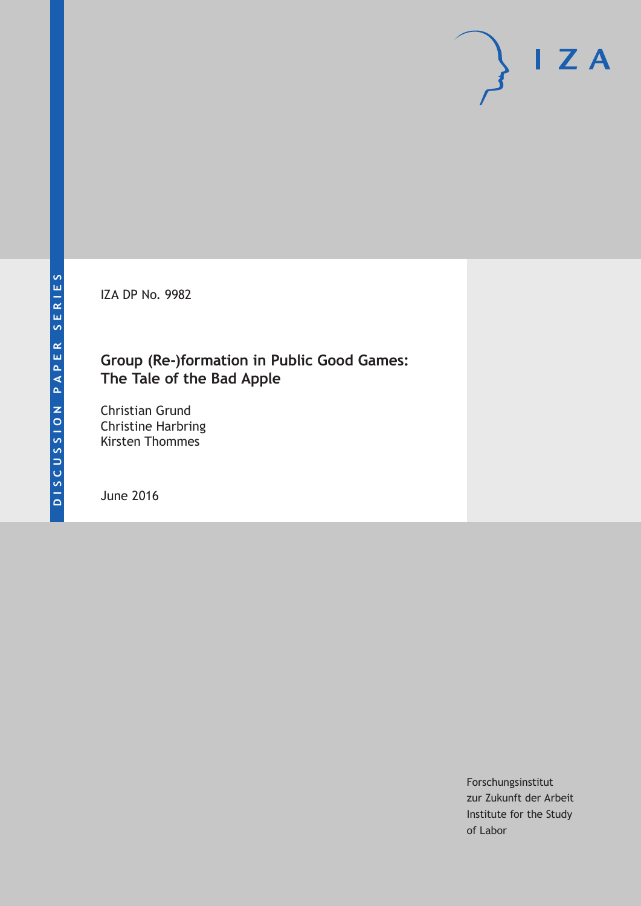IZA DP No. 9982

## **Group (Re-)formation in Public Good Games: The Tale of the Bad Apple**

Christian Grund Christine Harbring Kirsten Thommes

June 2016

Forschungsinstitut zur Zukunft der Arbeit Institute for the Study of Labor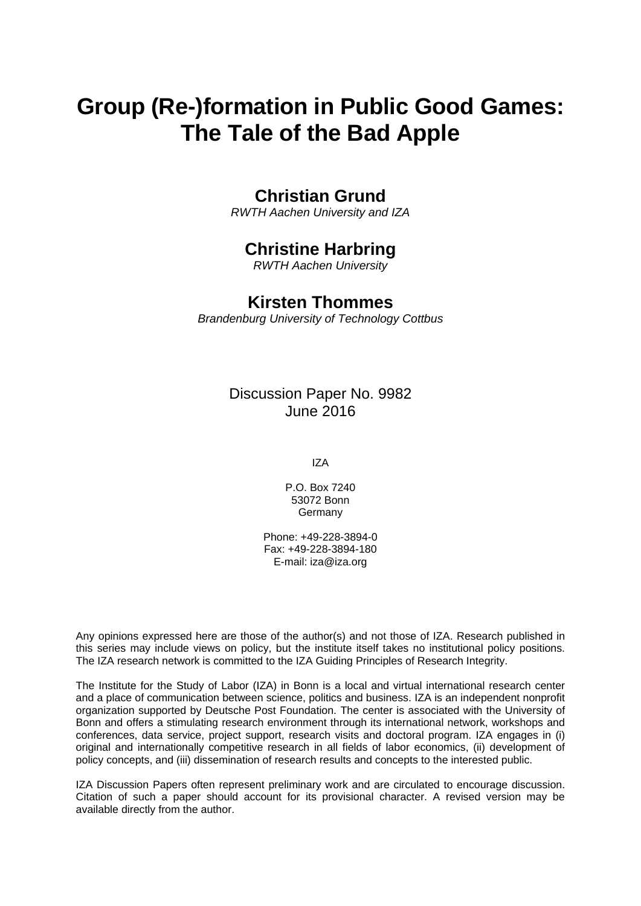# **Group (Re-)formation in Public Good Games: The Tale of the Bad Apple**

## **Christian Grund**

*RWTH Aachen University and IZA* 

## **Christine Harbring**

*RWTH Aachen University* 

## **Kirsten Thommes**

*Brandenburg University of Technology Cottbus*

## Discussion Paper No. 9982 June 2016

IZA

P.O. Box 7240 53072 Bonn Germany

Phone: +49-228-3894-0 Fax: +49-228-3894-180 E-mail: iza@iza.org

Any opinions expressed here are those of the author(s) and not those of IZA. Research published in this series may include views on policy, but the institute itself takes no institutional policy positions. The IZA research network is committed to the IZA Guiding Principles of Research Integrity.

The Institute for the Study of Labor (IZA) in Bonn is a local and virtual international research center and a place of communication between science, politics and business. IZA is an independent nonprofit organization supported by Deutsche Post Foundation. The center is associated with the University of Bonn and offers a stimulating research environment through its international network, workshops and conferences, data service, project support, research visits and doctoral program. IZA engages in (i) original and internationally competitive research in all fields of labor economics, (ii) development of policy concepts, and (iii) dissemination of research results and concepts to the interested public.

IZA Discussion Papers often represent preliminary work and are circulated to encourage discussion. Citation of such a paper should account for its provisional character. A revised version may be available directly from the author.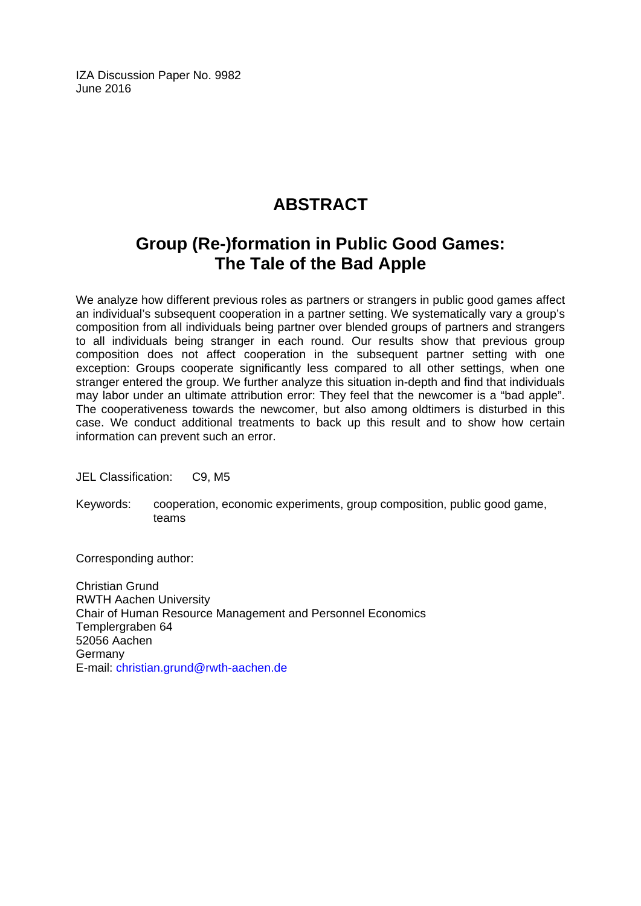IZA Discussion Paper No. 9982 June 2016

## **ABSTRACT**

## **Group (Re-)formation in Public Good Games: The Tale of the Bad Apple**

We analyze how different previous roles as partners or strangers in public good games affect an individual's subsequent cooperation in a partner setting. We systematically vary a group's composition from all individuals being partner over blended groups of partners and strangers to all individuals being stranger in each round. Our results show that previous group composition does not affect cooperation in the subsequent partner setting with one exception: Groups cooperate significantly less compared to all other settings, when one stranger entered the group. We further analyze this situation in-depth and find that individuals may labor under an ultimate attribution error: They feel that the newcomer is a "bad apple". The cooperativeness towards the newcomer, but also among oldtimers is disturbed in this case. We conduct additional treatments to back up this result and to show how certain information can prevent such an error.

JEL Classification: C9, M5

Keywords: cooperation, economic experiments, group composition, public good game, teams

Corresponding author:

Christian Grund RWTH Aachen University Chair of Human Resource Management and Personnel Economics Templergraben 64 52056 Aachen Germany E-mail: christian.grund@rwth-aachen.de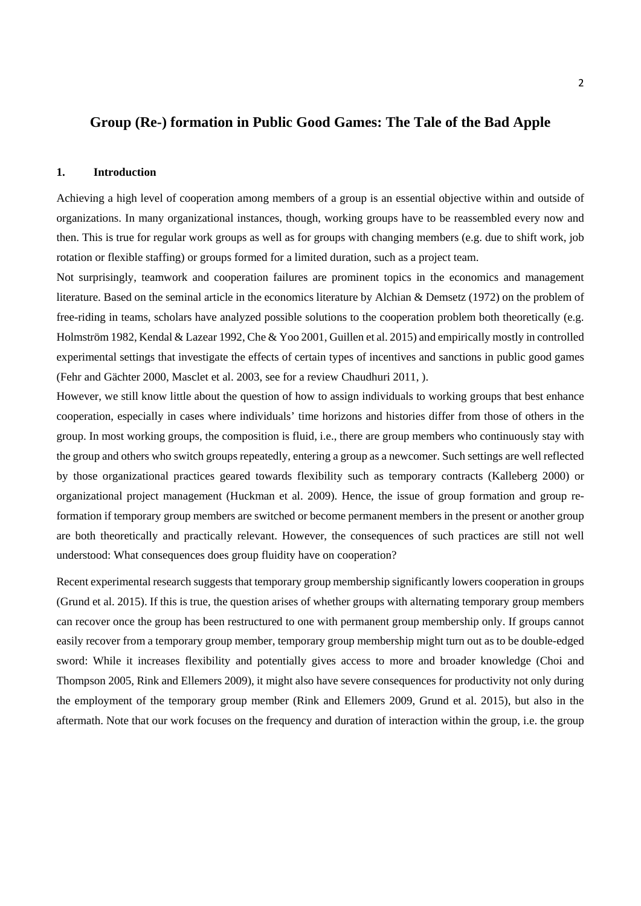## **Group (Re-) formation in Public Good Games: The Tale of the Bad Apple**

## **1. Introduction**

Achieving a high level of cooperation among members of a group is an essential objective within and outside of organizations. In many organizational instances, though, working groups have to be reassembled every now and then. This is true for regular work groups as well as for groups with changing members (e.g. due to shift work, job rotation or flexible staffing) or groups formed for a limited duration, such as a project team.

Not surprisingly, teamwork and cooperation failures are prominent topics in the economics and management literature. Based on the seminal article in the economics literature by Alchian & Demsetz (1972) on the problem of free-riding in teams, scholars have analyzed possible solutions to the cooperation problem both theoretically (e.g. Holmström 1982, Kendal & Lazear 1992, Che & Yoo 2001, Guillen et al. 2015) and empirically mostly in controlled experimental settings that investigate the effects of certain types of incentives and sanctions in public good games (Fehr and Gächter 2000, Masclet et al. 2003, see for a review Chaudhuri 2011, ).

However, we still know little about the question of how to assign individuals to working groups that best enhance cooperation, especially in cases where individuals' time horizons and histories differ from those of others in the group. In most working groups, the composition is fluid, i.e., there are group members who continuously stay with the group and others who switch groups repeatedly, entering a group as a newcomer. Such settings are well reflected by those organizational practices geared towards flexibility such as temporary contracts (Kalleberg 2000) or organizational project management (Huckman et al. 2009). Hence, the issue of group formation and group reformation if temporary group members are switched or become permanent members in the present or another group are both theoretically and practically relevant. However, the consequences of such practices are still not well understood: What consequences does group fluidity have on cooperation?

Recent experimental research suggests that temporary group membership significantly lowers cooperation in groups (Grund et al. 2015). If this is true, the question arises of whether groups with alternating temporary group members can recover once the group has been restructured to one with permanent group membership only. If groups cannot easily recover from a temporary group member, temporary group membership might turn out as to be double-edged sword: While it increases flexibility and potentially gives access to more and broader knowledge (Choi and Thompson 2005, Rink and Ellemers 2009), it might also have severe consequences for productivity not only during the employment of the temporary group member (Rink and Ellemers 2009, Grund et al. 2015), but also in the aftermath. Note that our work focuses on the frequency and duration of interaction within the group, i.e. the group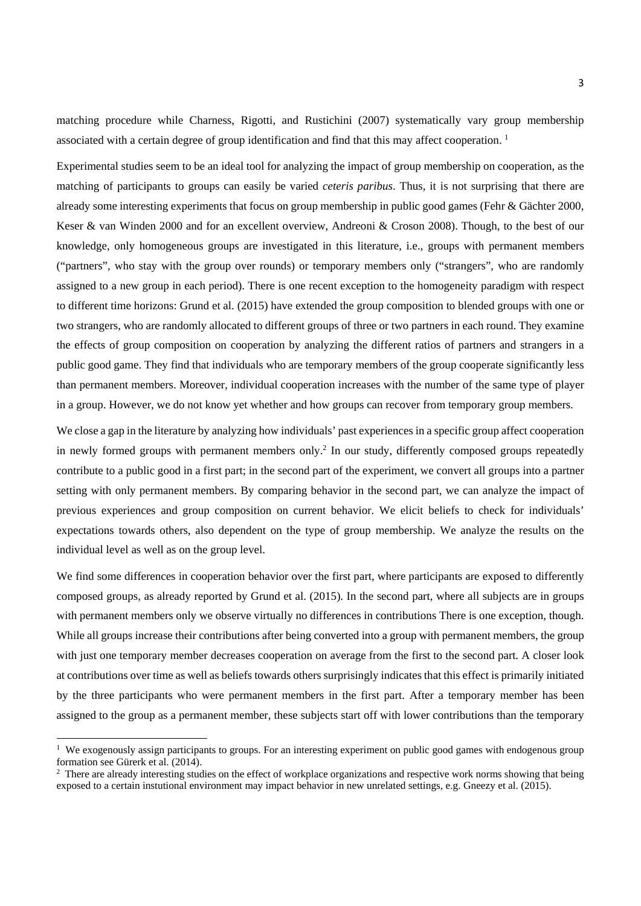matching procedure while Charness, Rigotti, and Rustichini (2007) systematically vary group membership associated with a certain degree of group identification and find that this may affect cooperation. 1

Experimental studies seem to be an ideal tool for analyzing the impact of group membership on cooperation, as the matching of participants to groups can easily be varied *ceteris paribus*. Thus, it is not surprising that there are already some interesting experiments that focus on group membership in public good games (Fehr & Gächter 2000, Keser & van Winden 2000 and for an excellent overview, Andreoni & Croson 2008). Though, to the best of our knowledge, only homogeneous groups are investigated in this literature, i.e., groups with permanent members ("partners", who stay with the group over rounds) or temporary members only ("strangers", who are randomly assigned to a new group in each period). There is one recent exception to the homogeneity paradigm with respect to different time horizons: Grund et al. (2015) have extended the group composition to blended groups with one or two strangers, who are randomly allocated to different groups of three or two partners in each round. They examine the effects of group composition on cooperation by analyzing the different ratios of partners and strangers in a public good game. They find that individuals who are temporary members of the group cooperate significantly less than permanent members. Moreover, individual cooperation increases with the number of the same type of player in a group. However, we do not know yet whether and how groups can recover from temporary group members.

We close a gap in the literature by analyzing how individuals' past experiences in a specific group affect cooperation in newly formed groups with permanent members only.<sup>2</sup> In our study, differently composed groups repeatedly contribute to a public good in a first part; in the second part of the experiment, we convert all groups into a partner setting with only permanent members. By comparing behavior in the second part, we can analyze the impact of previous experiences and group composition on current behavior. We elicit beliefs to check for individuals' expectations towards others, also dependent on the type of group membership. We analyze the results on the individual level as well as on the group level.

We find some differences in cooperation behavior over the first part, where participants are exposed to differently composed groups, as already reported by Grund et al. (2015). In the second part, where all subjects are in groups with permanent members only we observe virtually no differences in contributions There is one exception, though. While all groups increase their contributions after being converted into a group with permanent members, the group with just one temporary member decreases cooperation on average from the first to the second part. A closer look at contributions over time as well as beliefs towards others surprisingly indicates that this effect is primarily initiated by the three participants who were permanent members in the first part. After a temporary member has been assigned to the group as a permanent member, these subjects start off with lower contributions than the temporary

-

<sup>&</sup>lt;sup>1</sup> We exogenously assign participants to groups. For an interesting experiment on public good games with endogenous group formation see Gürerk et al. (2014).

<sup>&</sup>lt;sup>2</sup> There are already interesting studies on the effect of workplace organizations and respective work norms showing that being exposed to a certain instutional environment may impact behavior in new unrelated settings, e.g. Gneezy et al. (2015).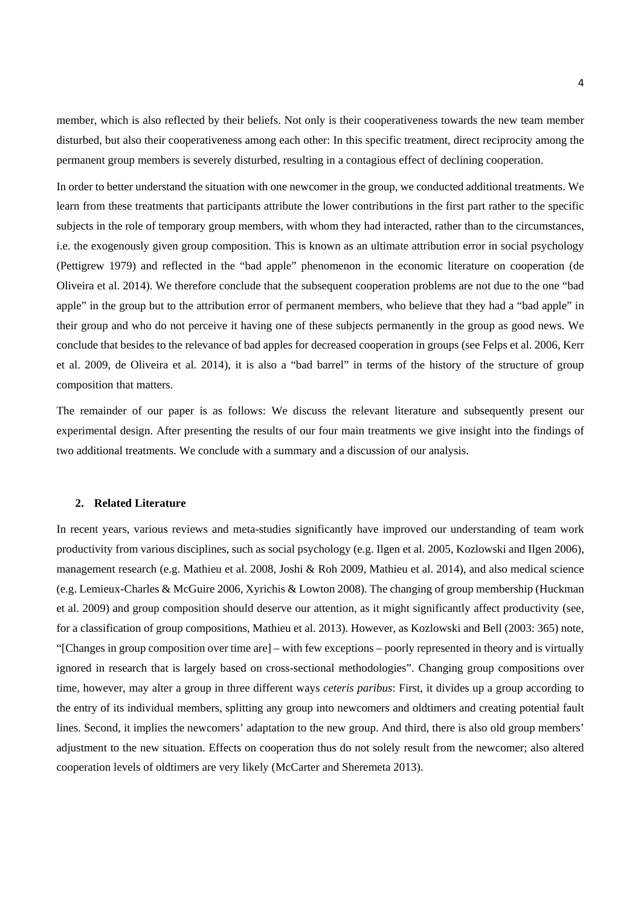member, which is also reflected by their beliefs. Not only is their cooperativeness towards the new team member disturbed, but also their cooperativeness among each other: In this specific treatment, direct reciprocity among the permanent group members is severely disturbed, resulting in a contagious effect of declining cooperation.

In order to better understand the situation with one newcomer in the group, we conducted additional treatments. We learn from these treatments that participants attribute the lower contributions in the first part rather to the specific subjects in the role of temporary group members, with whom they had interacted, rather than to the circumstances, i.e. the exogenously given group composition. This is known as an ultimate attribution error in social psychology (Pettigrew 1979) and reflected in the "bad apple" phenomenon in the economic literature on cooperation (de Oliveira et al. 2014). We therefore conclude that the subsequent cooperation problems are not due to the one "bad apple" in the group but to the attribution error of permanent members, who believe that they had a "bad apple" in their group and who do not perceive it having one of these subjects permanently in the group as good news. We conclude that besides to the relevance of bad apples for decreased cooperation in groups (see Felps et al. 2006, Kerr et al. 2009, de Oliveira et al. 2014), it is also a "bad barrel" in terms of the history of the structure of group composition that matters.

The remainder of our paper is as follows: We discuss the relevant literature and subsequently present our experimental design. After presenting the results of our four main treatments we give insight into the findings of two additional treatments. We conclude with a summary and a discussion of our analysis.

## **2. Related Literature**

In recent years, various reviews and meta-studies significantly have improved our understanding of team work productivity from various disciplines, such as social psychology (e.g. Ilgen et al. 2005, Kozlowski and Ilgen 2006), management research (e.g. Mathieu et al. 2008, Joshi & Roh 2009, Mathieu et al. 2014), and also medical science (e.g. Lemieux-Charles & McGuire 2006, Xyrichis & Lowton 2008). The changing of group membership (Huckman et al. 2009) and group composition should deserve our attention, as it might significantly affect productivity (see, for a classification of group compositions, Mathieu et al. 2013). However, as Kozlowski and Bell (2003: 365) note, "[Changes in group composition over time are] – with few exceptions – poorly represented in theory and is virtually ignored in research that is largely based on cross-sectional methodologies". Changing group compositions over time, however, may alter a group in three different ways *ceteris paribus*: First, it divides up a group according to the entry of its individual members, splitting any group into newcomers and oldtimers and creating potential fault lines. Second, it implies the newcomers' adaptation to the new group. And third, there is also old group members' adjustment to the new situation. Effects on cooperation thus do not solely result from the newcomer; also altered cooperation levels of oldtimers are very likely (McCarter and Sheremeta 2013).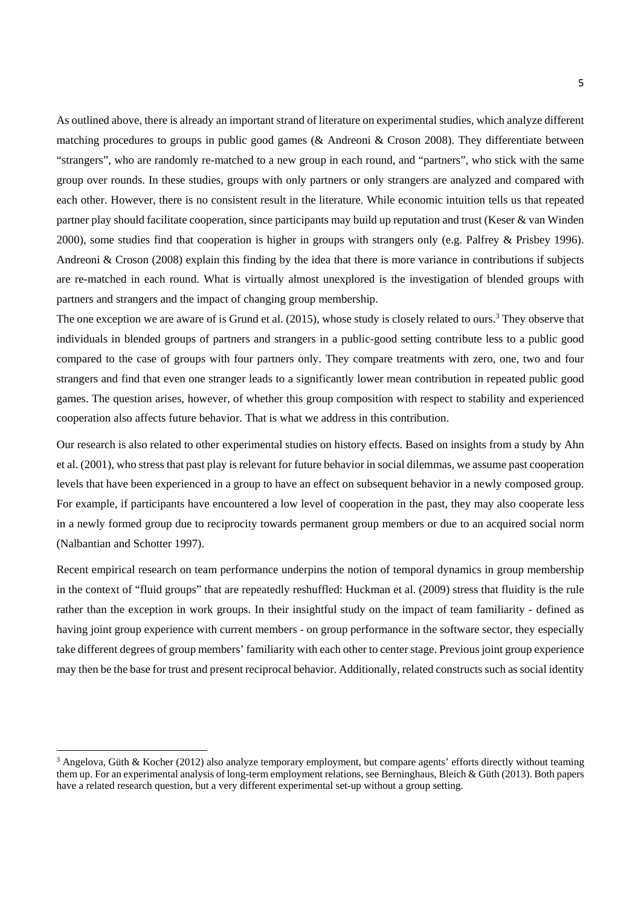As outlined above, there is already an important strand of literature on experimental studies, which analyze different matching procedures to groups in public good games (& Andreoni & Croson 2008). They differentiate between "strangers", who are randomly re-matched to a new group in each round, and "partners", who stick with the same group over rounds. In these studies, groups with only partners or only strangers are analyzed and compared with each other. However, there is no consistent result in the literature. While economic intuition tells us that repeated partner play should facilitate cooperation, since participants may build up reputation and trust (Keser & van Winden 2000), some studies find that cooperation is higher in groups with strangers only (e.g. Palfrey & Prisbey 1996). Andreoni & Croson (2008) explain this finding by the idea that there is more variance in contributions if subjects are re-matched in each round. What is virtually almost unexplored is the investigation of blended groups with partners and strangers and the impact of changing group membership.

The one exception we are aware of is Grund et al. (2015), whose study is closely related to ours.<sup>3</sup> They observe that individuals in blended groups of partners and strangers in a public-good setting contribute less to a public good compared to the case of groups with four partners only. They compare treatments with zero, one, two and four strangers and find that even one stranger leads to a significantly lower mean contribution in repeated public good games. The question arises, however, of whether this group composition with respect to stability and experienced cooperation also affects future behavior. That is what we address in this contribution.

Our research is also related to other experimental studies on history effects. Based on insights from a study by Ahn et al. (2001), who stress that past play is relevant for future behavior in social dilemmas, we assume past cooperation levels that have been experienced in a group to have an effect on subsequent behavior in a newly composed group. For example, if participants have encountered a low level of cooperation in the past, they may also cooperate less in a newly formed group due to reciprocity towards permanent group members or due to an acquired social norm (Nalbantian and Schotter 1997).

Recent empirical research on team performance underpins the notion of temporal dynamics in group membership in the context of "fluid groups" that are repeatedly reshuffled: Huckman et al. (2009) stress that fluidity is the rule rather than the exception in work groups. In their insightful study on the impact of team familiarity - defined as having joint group experience with current members - on group performance in the software sector, they especially take different degrees of group members' familiarity with each other to center stage. Previous joint group experience may then be the base for trust and present reciprocal behavior. Additionally, related constructs such as social identity

<u>.</u>

<sup>&</sup>lt;sup>3</sup> Angelova, Güth & Kocher (2012) also analyze temporary employment, but compare agents' efforts directly without teaming them up. For an experimental analysis of long-term employment relations, see Berninghaus, Bleich & Güth (2013). Both papers have a related research question, but a very different experimental set-up without a group setting.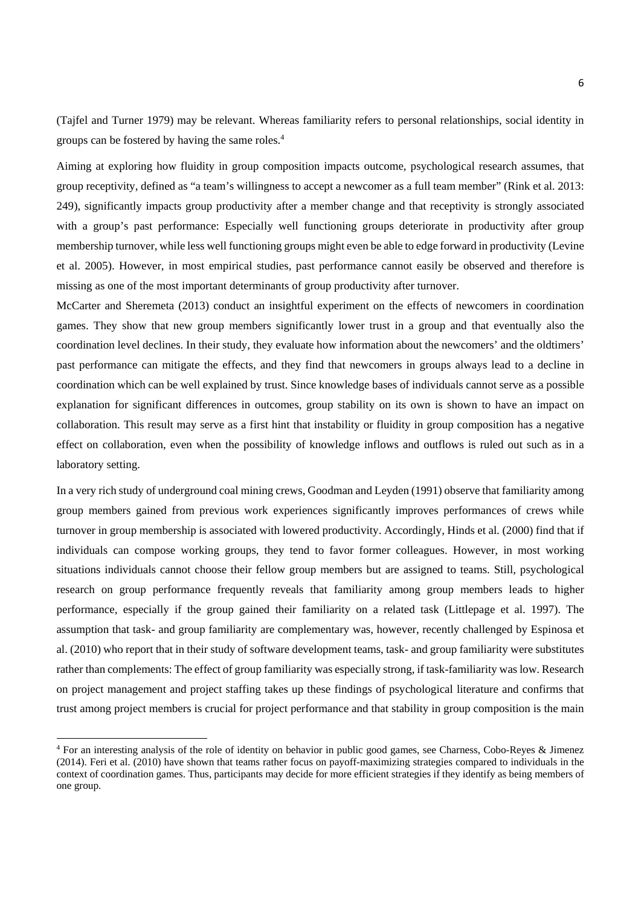(Tajfel and Turner 1979) may be relevant. Whereas familiarity refers to personal relationships, social identity in groups can be fostered by having the same roles.4

Aiming at exploring how fluidity in group composition impacts outcome, psychological research assumes, that group receptivity, defined as "a team's willingness to accept a newcomer as a full team member" (Rink et al. 2013: 249), significantly impacts group productivity after a member change and that receptivity is strongly associated with a group's past performance: Especially well functioning groups deteriorate in productivity after group membership turnover, while less well functioning groups might even be able to edge forward in productivity (Levine et al. 2005). However, in most empirical studies, past performance cannot easily be observed and therefore is missing as one of the most important determinants of group productivity after turnover.

McCarter and Sheremeta (2013) conduct an insightful experiment on the effects of newcomers in coordination games. They show that new group members significantly lower trust in a group and that eventually also the coordination level declines. In their study, they evaluate how information about the newcomers' and the oldtimers' past performance can mitigate the effects, and they find that newcomers in groups always lead to a decline in coordination which can be well explained by trust. Since knowledge bases of individuals cannot serve as a possible explanation for significant differences in outcomes, group stability on its own is shown to have an impact on collaboration. This result may serve as a first hint that instability or fluidity in group composition has a negative effect on collaboration, even when the possibility of knowledge inflows and outflows is ruled out such as in a laboratory setting.

In a very rich study of underground coal mining crews, Goodman and Leyden (1991) observe that familiarity among group members gained from previous work experiences significantly improves performances of crews while turnover in group membership is associated with lowered productivity. Accordingly, Hinds et al. (2000) find that if individuals can compose working groups, they tend to favor former colleagues. However, in most working situations individuals cannot choose their fellow group members but are assigned to teams. Still, psychological research on group performance frequently reveals that familiarity among group members leads to higher performance, especially if the group gained their familiarity on a related task (Littlepage et al. 1997). The assumption that task- and group familiarity are complementary was, however, recently challenged by Espinosa et al. (2010) who report that in their study of software development teams, task- and group familiarity were substitutes rather than complements: The effect of group familiarity was especially strong, if task-familiarity was low. Research on project management and project staffing takes up these findings of psychological literature and confirms that trust among project members is crucial for project performance and that stability in group composition is the main

-

<sup>4</sup> For an interesting analysis of the role of identity on behavior in public good games, see Charness, Cobo-Reyes & Jimenez (2014). Feri et al. (2010) have shown that teams rather focus on payoff-maximizing strategies compared to individuals in the context of coordination games. Thus, participants may decide for more efficient strategies if they identify as being members of one group.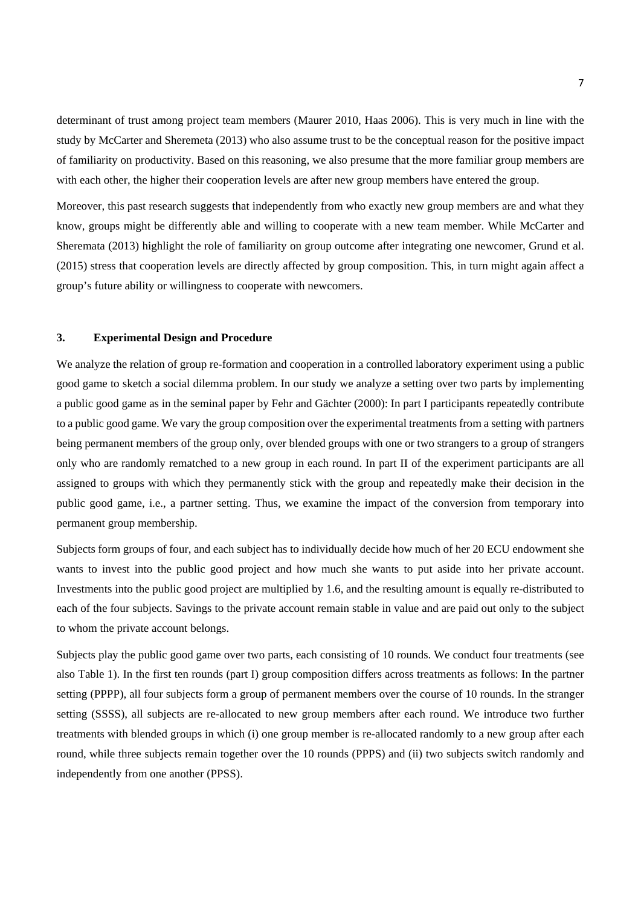determinant of trust among project team members (Maurer 2010, Haas 2006). This is very much in line with the study by McCarter and Sheremeta (2013) who also assume trust to be the conceptual reason for the positive impact of familiarity on productivity. Based on this reasoning, we also presume that the more familiar group members are with each other, the higher their cooperation levels are after new group members have entered the group.

Moreover, this past research suggests that independently from who exactly new group members are and what they know, groups might be differently able and willing to cooperate with a new team member. While McCarter and Sheremata (2013) highlight the role of familiarity on group outcome after integrating one newcomer, Grund et al. (2015) stress that cooperation levels are directly affected by group composition. This, in turn might again affect a group's future ability or willingness to cooperate with newcomers.

## **3. Experimental Design and Procedure**

We analyze the relation of group re-formation and cooperation in a controlled laboratory experiment using a public good game to sketch a social dilemma problem. In our study we analyze a setting over two parts by implementing a public good game as in the seminal paper by Fehr and Gächter (2000): In part I participants repeatedly contribute to a public good game. We vary the group composition over the experimental treatments from a setting with partners being permanent members of the group only, over blended groups with one or two strangers to a group of strangers only who are randomly rematched to a new group in each round. In part II of the experiment participants are all assigned to groups with which they permanently stick with the group and repeatedly make their decision in the public good game, i.e., a partner setting. Thus, we examine the impact of the conversion from temporary into permanent group membership.

Subjects form groups of four, and each subject has to individually decide how much of her 20 ECU endowment she wants to invest into the public good project and how much she wants to put aside into her private account. Investments into the public good project are multiplied by 1.6, and the resulting amount is equally re-distributed to each of the four subjects. Savings to the private account remain stable in value and are paid out only to the subject to whom the private account belongs.

Subjects play the public good game over two parts, each consisting of 10 rounds. We conduct four treatments (see also Table 1). In the first ten rounds (part I) group composition differs across treatments as follows: In the partner setting (PPPP), all four subjects form a group of permanent members over the course of 10 rounds. In the stranger setting (SSSS), all subjects are re-allocated to new group members after each round. We introduce two further treatments with blended groups in which (i) one group member is re-allocated randomly to a new group after each round, while three subjects remain together over the 10 rounds (PPPS) and (ii) two subjects switch randomly and independently from one another (PPSS).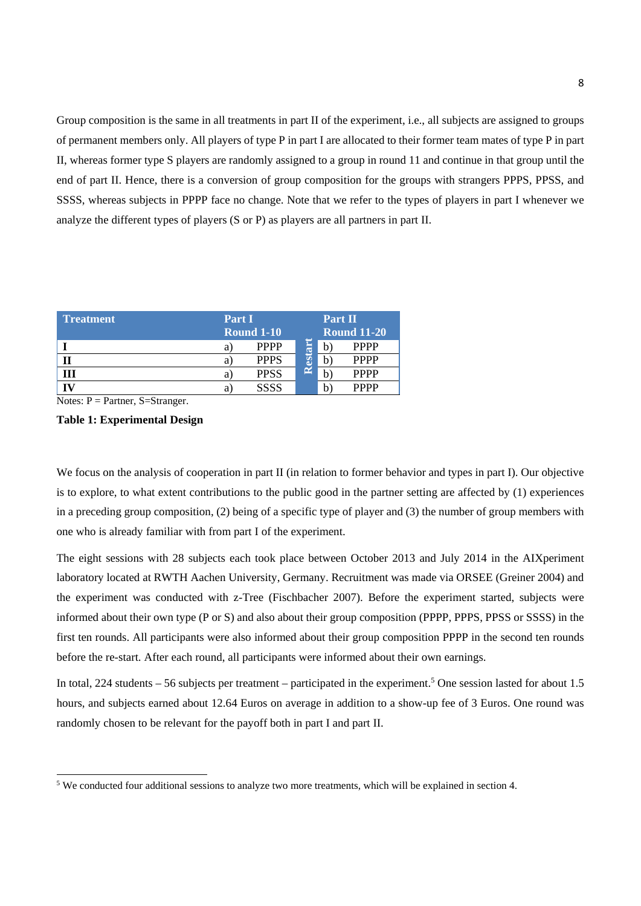Group composition is the same in all treatments in part II of the experiment, i.e., all subjects are assigned to groups of permanent members only. All players of type P in part I are allocated to their former team mates of type P in part II, whereas former type S players are randomly assigned to a group in round 11 and continue in that group until the end of part II. Hence, there is a conversion of group composition for the groups with strangers PPPS, PPSS, and SSSS, whereas subjects in PPPP face no change. Note that we refer to the types of players in part I whenever we analyze the different types of players (S or P) as players are all partners in part II.

| <b>Treatment</b> | Part I |                   |    | Part II |                    |  |
|------------------|--------|-------------------|----|---------|--------------------|--|
|                  |        | <b>Round 1-10</b> |    |         | <b>Round 11-20</b> |  |
|                  | а      | <b>PPPP</b>       |    |         | <b>PPPP</b>        |  |
|                  | а      | <b>PPPS</b>       | H. |         | <b>PPPP</b>        |  |
|                  | а      | <b>PPSS</b>       | ∼  |         | <b>PPPP</b>        |  |
|                  | а      | <b>SSSS</b>       |    |         | <b>PPPP</b>        |  |

Notes:  $P =$  Partner, S=Stranger.

<u>.</u>

## **Table 1: Experimental Design**

We focus on the analysis of cooperation in part II (in relation to former behavior and types in part I). Our objective is to explore, to what extent contributions to the public good in the partner setting are affected by (1) experiences in a preceding group composition, (2) being of a specific type of player and (3) the number of group members with one who is already familiar with from part I of the experiment.

The eight sessions with 28 subjects each took place between October 2013 and July 2014 in the AIXperiment laboratory located at RWTH Aachen University, Germany. Recruitment was made via ORSEE (Greiner 2004) and the experiment was conducted with z-Tree (Fischbacher 2007). Before the experiment started, subjects were informed about their own type (P or S) and also about their group composition (PPPP, PPPS, PPSS or SSSS) in the first ten rounds. All participants were also informed about their group composition PPPP in the second ten rounds before the re-start. After each round, all participants were informed about their own earnings.

In total, 224 students  $-56$  subjects per treatment  $-$  participated in the experiment.<sup>5</sup> One session lasted for about 1.5 hours, and subjects earned about 12.64 Euros on average in addition to a show-up fee of 3 Euros. One round was randomly chosen to be relevant for the payoff both in part I and part II.

<sup>&</sup>lt;sup>5</sup> We conducted four additional sessions to analyze two more treatments, which will be explained in section 4.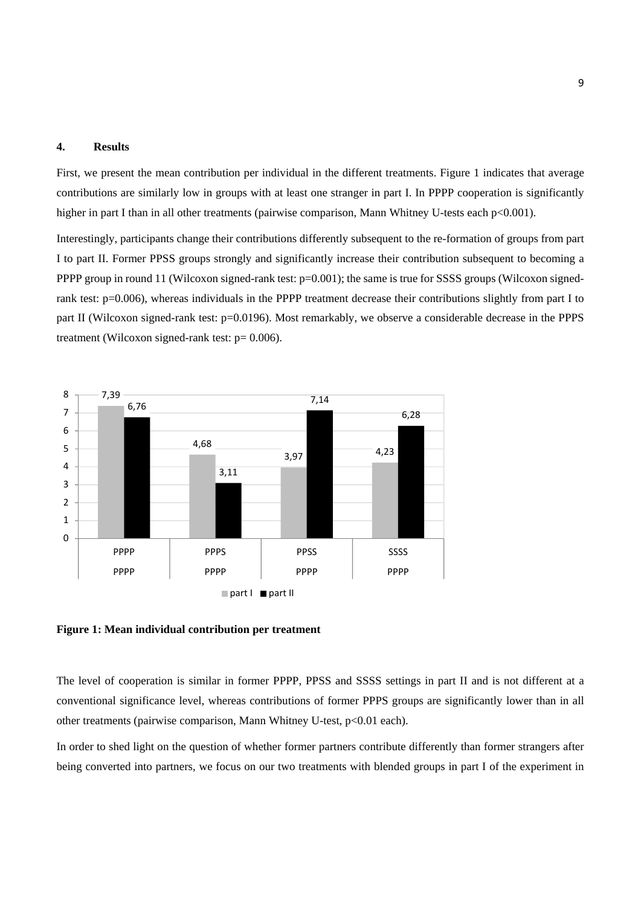## **4. Results**

First, we present the mean contribution per individual in the different treatments. Figure 1 indicates that average contributions are similarly low in groups with at least one stranger in part I. In PPPP cooperation is significantly higher in part I than in all other treatments (pairwise comparison, Mann Whitney U-tests each p<0.001).

Interestingly, participants change their contributions differently subsequent to the re-formation of groups from part I to part II. Former PPSS groups strongly and significantly increase their contribution subsequent to becoming a PPPP group in round 11 (Wilcoxon signed-rank test:  $p=0.001$ ); the same is true for SSSS groups (Wilcoxon signedrank test: p=0.006), whereas individuals in the PPPP treatment decrease their contributions slightly from part I to part II (Wilcoxon signed-rank test: p=0.0196). Most remarkably, we observe a considerable decrease in the PPPS treatment (Wilcoxon signed-rank test:  $p = 0.006$ ).



**Figure 1: Mean individual contribution per treatment** 

The level of cooperation is similar in former PPPP, PPSS and SSSS settings in part II and is not different at a conventional significance level, whereas contributions of former PPPS groups are significantly lower than in all other treatments (pairwise comparison, Mann Whitney U-test, p<0.01 each).

In order to shed light on the question of whether former partners contribute differently than former strangers after being converted into partners, we focus on our two treatments with blended groups in part I of the experiment in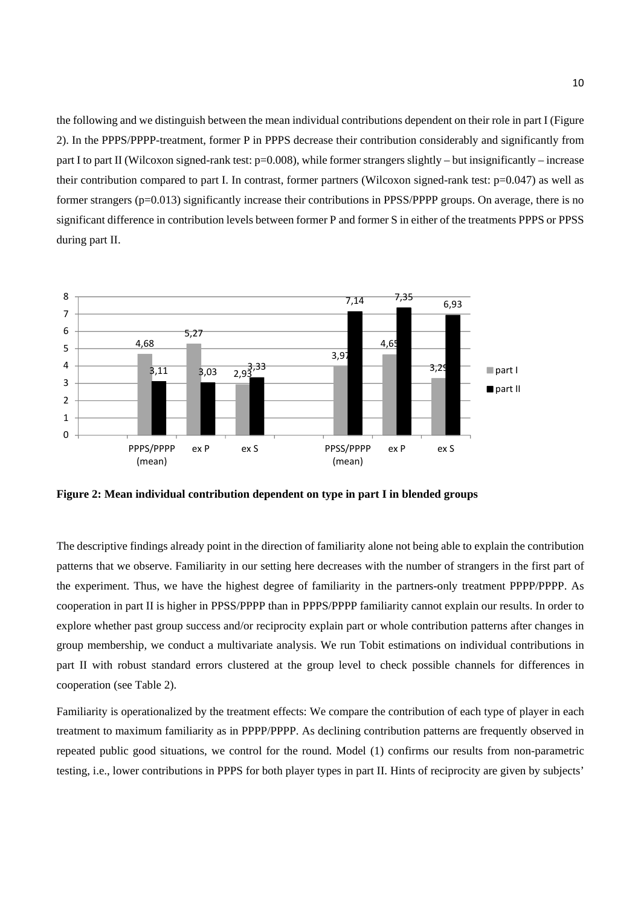the following and we distinguish between the mean individual contributions dependent on their role in part I (Figure 2). In the PPPS/PPPP-treatment, former P in PPPS decrease their contribution considerably and significantly from part I to part II (Wilcoxon signed-rank test:  $p=0.008$ ), while former strangers slightly – but insignificantly – increase their contribution compared to part I. In contrast, former partners (Wilcoxon signed-rank test:  $p=0.047$ ) as well as former strangers (p=0.013) significantly increase their contributions in PPSS/PPPP groups. On average, there is no significant difference in contribution levels between former P and former S in either of the treatments PPPS or PPSS during part II.



**Figure 2: Mean individual contribution dependent on type in part I in blended groups** 

The descriptive findings already point in the direction of familiarity alone not being able to explain the contribution patterns that we observe. Familiarity in our setting here decreases with the number of strangers in the first part of the experiment. Thus, we have the highest degree of familiarity in the partners-only treatment PPPP/PPPP. As cooperation in part II is higher in PPSS/PPPP than in PPPS/PPPP familiarity cannot explain our results. In order to explore whether past group success and/or reciprocity explain part or whole contribution patterns after changes in group membership, we conduct a multivariate analysis. We run Tobit estimations on individual contributions in part II with robust standard errors clustered at the group level to check possible channels for differences in cooperation (see Table 2).

Familiarity is operationalized by the treatment effects: We compare the contribution of each type of player in each treatment to maximum familiarity as in PPPP/PPPP. As declining contribution patterns are frequently observed in repeated public good situations, we control for the round. Model (1) confirms our results from non-parametric testing, i.e., lower contributions in PPPS for both player types in part II. Hints of reciprocity are given by subjects'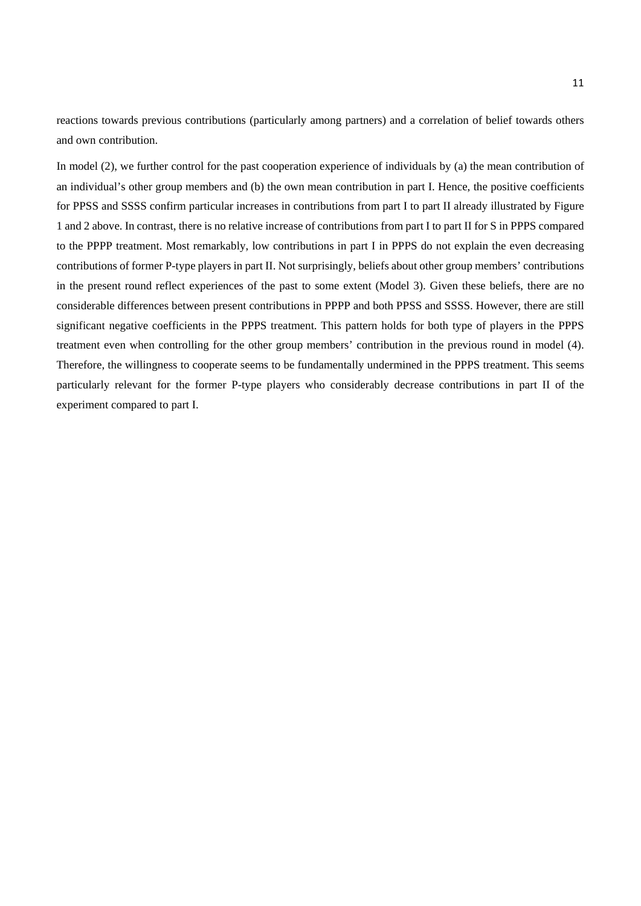reactions towards previous contributions (particularly among partners) and a correlation of belief towards others and own contribution.

In model (2), we further control for the past cooperation experience of individuals by (a) the mean contribution of an individual's other group members and (b) the own mean contribution in part I. Hence, the positive coefficients for PPSS and SSSS confirm particular increases in contributions from part I to part II already illustrated by Figure 1 and 2 above. In contrast, there is no relative increase of contributions from part I to part II for S in PPPS compared to the PPPP treatment. Most remarkably, low contributions in part I in PPPS do not explain the even decreasing contributions of former P-type players in part II. Not surprisingly, beliefs about other group members' contributions in the present round reflect experiences of the past to some extent (Model 3). Given these beliefs, there are no considerable differences between present contributions in PPPP and both PPSS and SSSS. However, there are still significant negative coefficients in the PPPS treatment. This pattern holds for both type of players in the PPPS treatment even when controlling for the other group members' contribution in the previous round in model (4). Therefore, the willingness to cooperate seems to be fundamentally undermined in the PPPS treatment. This seems particularly relevant for the former P-type players who considerably decrease contributions in part II of the experiment compared to part I.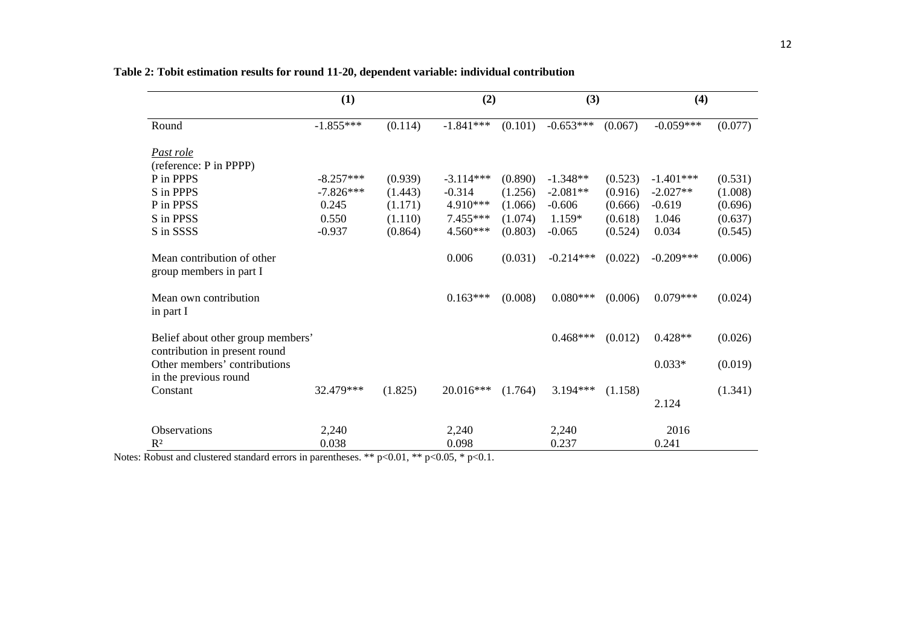|                                                                    | (1)         |         | (2)         |         | (3)         |         | (4)         |         |
|--------------------------------------------------------------------|-------------|---------|-------------|---------|-------------|---------|-------------|---------|
| Round                                                              | $-1.855***$ | (0.114) | $-1.841***$ | (0.101) | $-0.653***$ | (0.067) | $-0.059***$ | (0.077) |
| Past role                                                          |             |         |             |         |             |         |             |         |
| (reference: P in PPPP)                                             |             |         |             |         |             |         |             |         |
| P in PPPS                                                          | $-8.257***$ | (0.939) | $-3.114***$ | (0.890) | $-1.348**$  | (0.523) | $-1.401***$ | (0.531) |
| S in PPPS                                                          | $-7.826***$ | (1.443) | $-0.314$    | (1.256) | $-2.081**$  | (0.916) | $-2.027**$  | (1.008) |
| P in PPSS                                                          | 0.245       | (1.171) | 4.910***    | (1.066) | $-0.606$    | (0.666) | $-0.619$    | (0.696) |
| S in PPSS                                                          | 0.550       | (1.110) | 7.455***    | (1.074) | $1.159*$    | (0.618) | 1.046       | (0.637) |
| S in SSSS                                                          | $-0.937$    | (0.864) | 4.560***    | (0.803) | $-0.065$    | (0.524) | 0.034       | (0.545) |
| Mean contribution of other<br>group members in part I              |             |         | 0.006       | (0.031) | $-0.214***$ | (0.022) | $-0.209***$ | (0.006) |
| Mean own contribution<br>in part I                                 |             |         | $0.163***$  | (0.008) | $0.080***$  | (0.006) | $0.079***$  | (0.024) |
| Belief about other group members'<br>contribution in present round |             |         |             |         | $0.468***$  | (0.012) | $0.428**$   | (0.026) |
| Other members' contributions<br>in the previous round              |             |         |             |         |             |         | $0.033*$    | (0.019) |
| Constant                                                           | 32.479***   | (1.825) | 20.016***   | (1.764) | $3.194***$  | (1.158) |             | (1.341) |
|                                                                    |             |         |             |         |             |         | 2.124       |         |
| Observations                                                       | 2,240       |         | 2,240       |         | 2,240       |         | 2016        |         |
| $R^2$                                                              | 0.038       |         | 0.098       |         | 0.237       |         | 0.241       |         |

**Table 2: Tobit estimation results for round 11-20, dependent variable: individual contribution**

Notes: Robust and clustered standard errors in parentheses. \*\*  $p<0.01$ , \*\*  $p<0.05$ , \*  $p<0.1$ .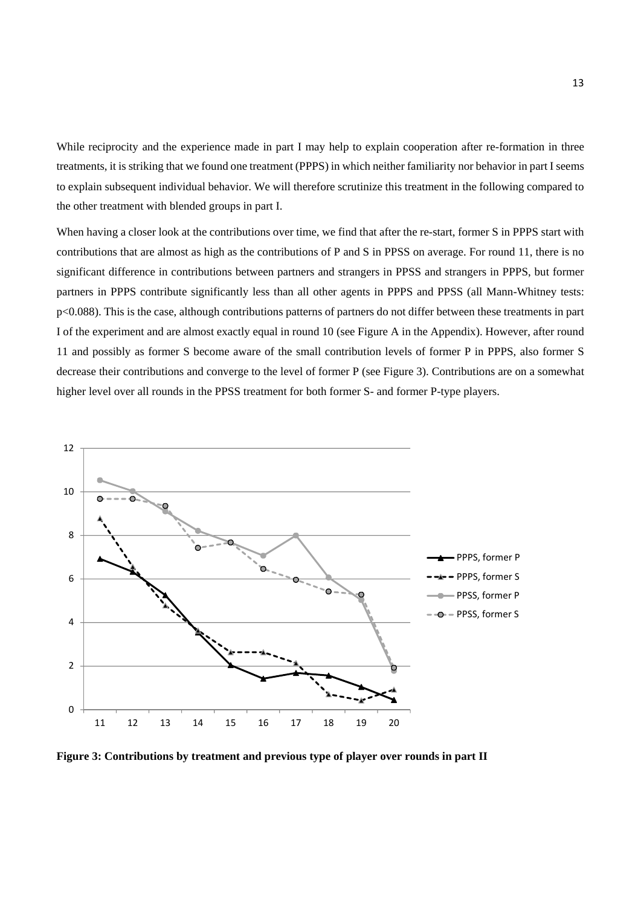While reciprocity and the experience made in part I may help to explain cooperation after re-formation in three treatments, it is striking that we found one treatment (PPPS) in which neither familiarity nor behavior in part I seems to explain subsequent individual behavior. We will therefore scrutinize this treatment in the following compared to the other treatment with blended groups in part I.

When having a closer look at the contributions over time, we find that after the re-start, former S in PPPS start with contributions that are almost as high as the contributions of P and S in PPSS on average. For round 11, there is no significant difference in contributions between partners and strangers in PPSS and strangers in PPPS, but former partners in PPPS contribute significantly less than all other agents in PPPS and PPSS (all Mann-Whitney tests: p<0.088). This is the case, although contributions patterns of partners do not differ between these treatments in part I of the experiment and are almost exactly equal in round 10 (see Figure A in the Appendix). However, after round 11 and possibly as former S become aware of the small contribution levels of former P in PPPS, also former S decrease their contributions and converge to the level of former P (see Figure 3). Contributions are on a somewhat higher level over all rounds in the PPSS treatment for both former S- and former P-type players.



**Figure 3: Contributions by treatment and previous type of player over rounds in part II**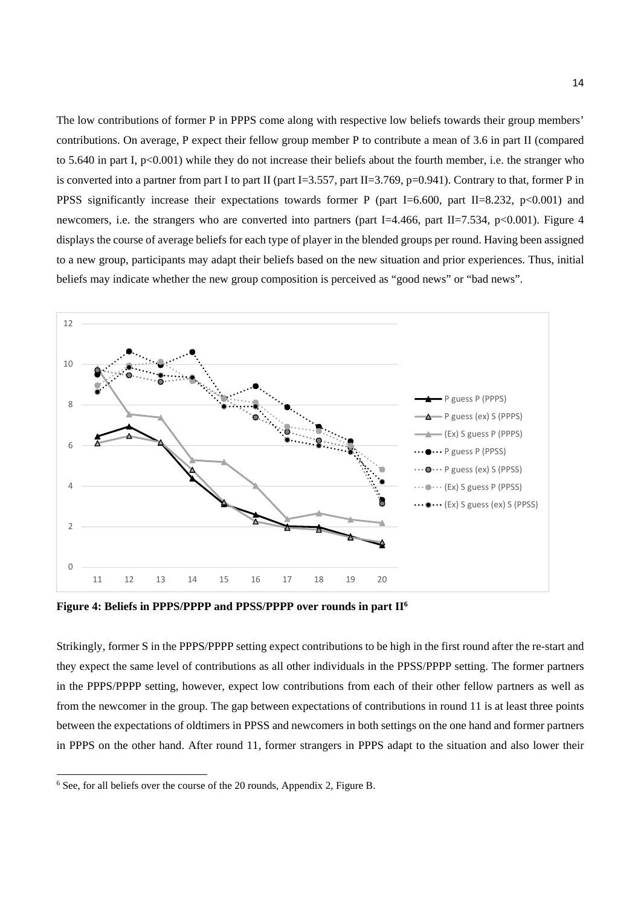The low contributions of former P in PPPS come along with respective low beliefs towards their group members' contributions. On average, P expect their fellow group member P to contribute a mean of 3.6 in part II (compared to 5.640 in part I,  $p<0.001$ ) while they do not increase their beliefs about the fourth member, i.e. the stranger who is converted into a partner from part I to part II (part I=3.557, part II=3.769, p=0.941). Contrary to that, former P in PPSS significantly increase their expectations towards former P (part I=6.600, part II=8.232, p<0.001) and newcomers, i.e. the strangers who are converted into partners (part I=4.466, part II=7.534, p<0.001). Figure 4 displays the course of average beliefs for each type of player in the blended groups per round. Having been assigned to a new group, participants may adapt their beliefs based on the new situation and prior experiences. Thus, initial beliefs may indicate whether the new group composition is perceived as "good news" or "bad news".



Figure 4: Beliefs in PPPS/PPPP and PPSS/PPPP over rounds in part II<sup>6</sup>

Strikingly, former S in the PPPS/PPPP setting expect contributions to be high in the first round after the re-start and they expect the same level of contributions as all other individuals in the PPSS/PPPP setting. The former partners in the PPPS/PPPP setting, however, expect low contributions from each of their other fellow partners as well as from the newcomer in the group. The gap between expectations of contributions in round 11 is at least three points between the expectations of oldtimers in PPSS and newcomers in both settings on the one hand and former partners in PPPS on the other hand. After round 11, former strangers in PPPS adapt to the situation and also lower their

<u>.</u>

<sup>6</sup> See, for all beliefs over the course of the 20 rounds, Appendix 2, Figure B.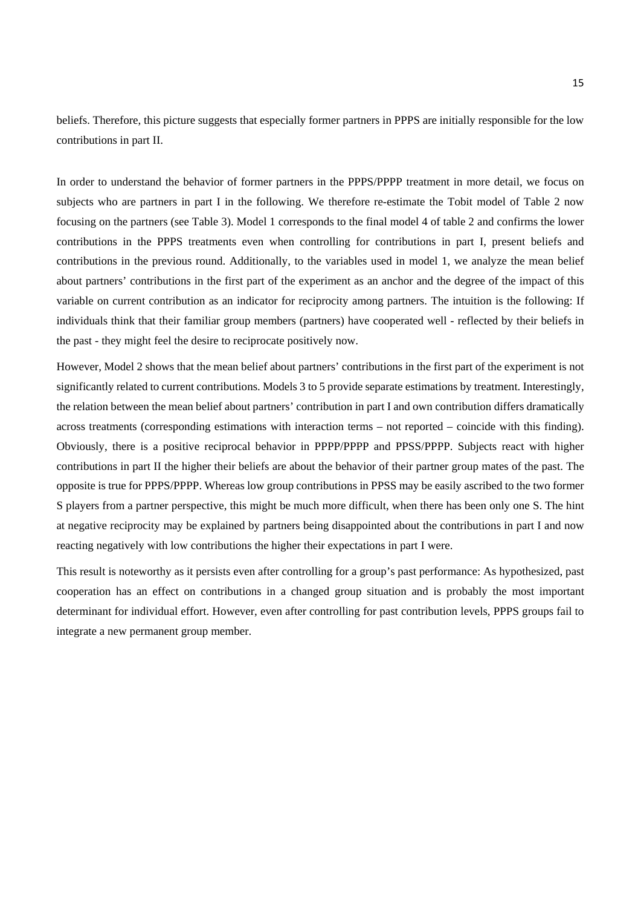beliefs. Therefore, this picture suggests that especially former partners in PPPS are initially responsible for the low contributions in part II.

In order to understand the behavior of former partners in the PPPS/PPPP treatment in more detail, we focus on subjects who are partners in part I in the following. We therefore re-estimate the Tobit model of Table 2 now focusing on the partners (see Table 3). Model 1 corresponds to the final model 4 of table 2 and confirms the lower contributions in the PPPS treatments even when controlling for contributions in part I, present beliefs and contributions in the previous round. Additionally, to the variables used in model 1, we analyze the mean belief about partners' contributions in the first part of the experiment as an anchor and the degree of the impact of this variable on current contribution as an indicator for reciprocity among partners. The intuition is the following: If individuals think that their familiar group members (partners) have cooperated well - reflected by their beliefs in the past - they might feel the desire to reciprocate positively now.

However, Model 2 shows that the mean belief about partners' contributions in the first part of the experiment is not significantly related to current contributions. Models 3 to 5 provide separate estimations by treatment. Interestingly, the relation between the mean belief about partners' contribution in part I and own contribution differs dramatically across treatments (corresponding estimations with interaction terms – not reported – coincide with this finding). Obviously, there is a positive reciprocal behavior in PPPP/PPPP and PPSS/PPPP. Subjects react with higher contributions in part II the higher their beliefs are about the behavior of their partner group mates of the past. The opposite is true for PPPS/PPPP. Whereas low group contributions in PPSS may be easily ascribed to the two former S players from a partner perspective, this might be much more difficult, when there has been only one S. The hint at negative reciprocity may be explained by partners being disappointed about the contributions in part I and now reacting negatively with low contributions the higher their expectations in part I were.

This result is noteworthy as it persists even after controlling for a group's past performance: As hypothesized, past cooperation has an effect on contributions in a changed group situation and is probably the most important determinant for individual effort. However, even after controlling for past contribution levels, PPPS groups fail to integrate a new permanent group member.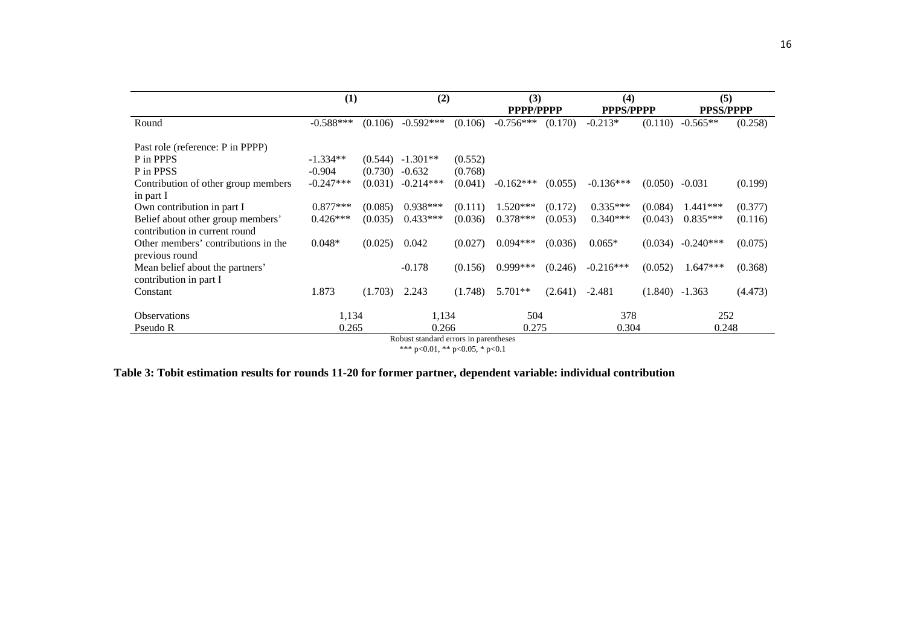|                                     | (1)         |         | (2)                |         | (3)<br>PPPP/PPPP |         | (4)<br><b>PPPS/PPPP</b> |                  | (5)<br><b>PPSS/PPPP</b> |         |
|-------------------------------------|-------------|---------|--------------------|---------|------------------|---------|-------------------------|------------------|-------------------------|---------|
| Round                               | $-0.588***$ | (0.106) | $-0.592***$        | (0.106) | $-0.756***$      | (0.170) | $-0.213*$               | (0.110)          | $-0.565**$              | (0.258) |
| Past role (reference: P in PPPP)    |             |         |                    |         |                  |         |                         |                  |                         |         |
| P in PPPS                           | $-1.334**$  |         | $(0.544)$ -1.301** | (0.552) |                  |         |                         |                  |                         |         |
| P in PPSS                           | $-0.904$    | (0.730) | $-0.632$           | (0.768) |                  |         |                         |                  |                         |         |
| Contribution of other group members | $-0.247***$ | (0.031) | $-0.214***$        | (0.041) | $-0.162***$      | (0.055) | $-0.136***$             | (0.050)          | $-0.031$                | (0.199) |
| in part I                           |             |         |                    |         |                  |         |                         |                  |                         |         |
| Own contribution in part I          | $0.877***$  | (0.085) | $0.938***$         | (0.111) | $1.520***$       | (0.172) | $0.335***$              | (0.084)          | $1.441***$              | (0.377) |
| Belief about other group members'   | $0.426***$  | (0.035) | $0.433***$         | (0.036) | $0.378***$       | (0.053) | $0.340***$              | (0.043)          | $0.835***$              | (0.116) |
| contribution in current round       |             |         |                    |         |                  |         |                         |                  |                         |         |
| Other members' contributions in the | $0.048*$    | (0.025) | 0.042              | (0.027) | $0.094***$       | (0.036) | $0.065*$                | (0.034)          | $-0.240***$             | (0.075) |
| previous round                      |             |         |                    |         |                  |         |                         |                  |                         |         |
| Mean belief about the partners'     |             |         | $-0.178$           | (0.156) | $0.999***$       | (0.246) | $-0.216***$             | (0.052)          | $1.647***$              | (0.368) |
| contribution in part I              |             |         |                    |         |                  |         |                         |                  |                         |         |
| Constant                            | 1.873       | (1.703) | 2.243              | (1.748) | $5.701**$        | (2.641) | $-2.481$                | $(1.840) -1.363$ |                         | (4.473) |
| <b>Observations</b>                 | 1,134       |         | 1,134              |         | 504              |         | 378                     |                  | 252                     |         |
| Pseudo R                            | 0.265       |         | 0.266              |         | 0.275            |         | 0.304                   |                  | 0.248                   |         |

Robust standard errors in parentheses \*\*\* p<0.01, \*\* p<0.05, \* p<0.1

| Table 3: Tobit estimation results for rounds 11-20 for former partner, dependent variable: individual contribution |  |  |  |
|--------------------------------------------------------------------------------------------------------------------|--|--|--|
|--------------------------------------------------------------------------------------------------------------------|--|--|--|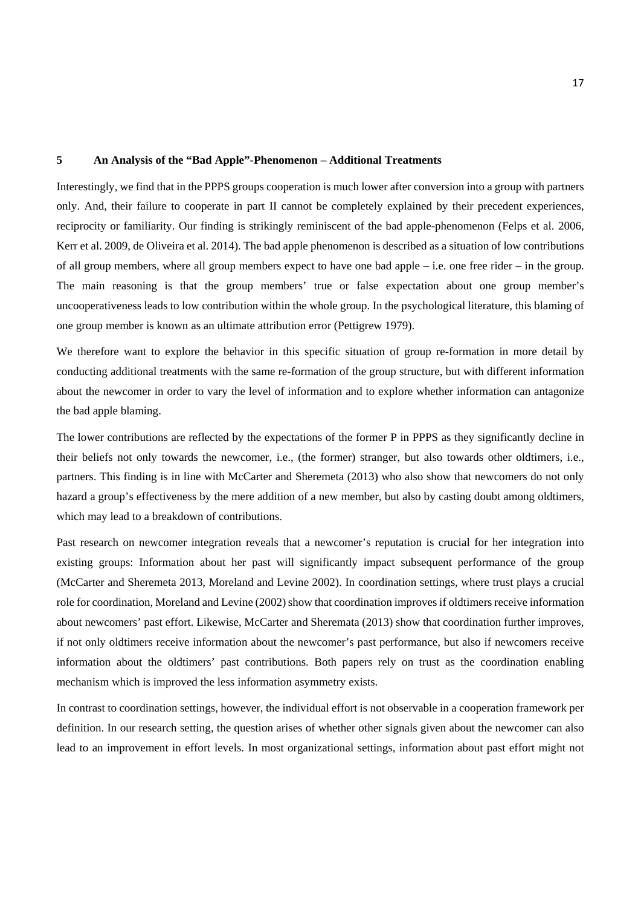## **5 An Analysis of the "Bad Apple"-Phenomenon – Additional Treatments**

Interestingly, we find that in the PPPS groups cooperation is much lower after conversion into a group with partners only. And, their failure to cooperate in part II cannot be completely explained by their precedent experiences, reciprocity or familiarity. Our finding is strikingly reminiscent of the bad apple-phenomenon (Felps et al. 2006, Kerr et al. 2009, de Oliveira et al. 2014). The bad apple phenomenon is described as a situation of low contributions of all group members, where all group members expect to have one bad apple – i.e. one free rider – in the group. The main reasoning is that the group members' true or false expectation about one group member's uncooperativeness leads to low contribution within the whole group. In the psychological literature, this blaming of one group member is known as an ultimate attribution error (Pettigrew 1979).

We therefore want to explore the behavior in this specific situation of group re-formation in more detail by conducting additional treatments with the same re-formation of the group structure, but with different information about the newcomer in order to vary the level of information and to explore whether information can antagonize the bad apple blaming.

The lower contributions are reflected by the expectations of the former P in PPPS as they significantly decline in their beliefs not only towards the newcomer, i.e., (the former) stranger, but also towards other oldtimers, i.e., partners. This finding is in line with McCarter and Sheremeta (2013) who also show that newcomers do not only hazard a group's effectiveness by the mere addition of a new member, but also by casting doubt among oldtimers, which may lead to a breakdown of contributions.

Past research on newcomer integration reveals that a newcomer's reputation is crucial for her integration into existing groups: Information about her past will significantly impact subsequent performance of the group (McCarter and Sheremeta 2013, Moreland and Levine 2002). In coordination settings, where trust plays a crucial role for coordination, Moreland and Levine (2002) show that coordination improves if oldtimers receive information about newcomers' past effort. Likewise, McCarter and Sheremata (2013) show that coordination further improves, if not only oldtimers receive information about the newcomer's past performance, but also if newcomers receive information about the oldtimers' past contributions. Both papers rely on trust as the coordination enabling mechanism which is improved the less information asymmetry exists.

In contrast to coordination settings, however, the individual effort is not observable in a cooperation framework per definition. In our research setting, the question arises of whether other signals given about the newcomer can also lead to an improvement in effort levels. In most organizational settings, information about past effort might not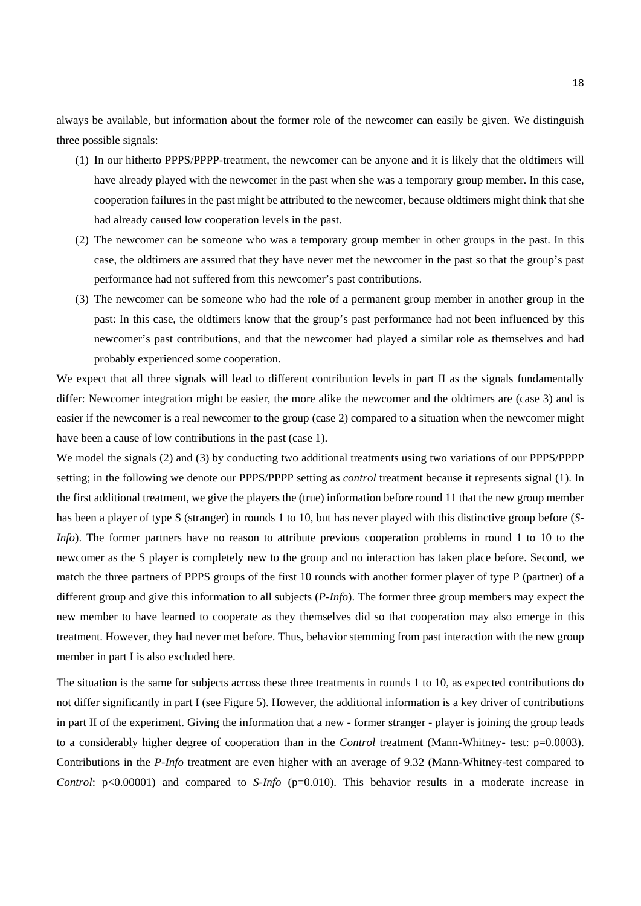always be available, but information about the former role of the newcomer can easily be given. We distinguish three possible signals:

- (1) In our hitherto PPPS/PPPP-treatment, the newcomer can be anyone and it is likely that the oldtimers will have already played with the newcomer in the past when she was a temporary group member. In this case, cooperation failures in the past might be attributed to the newcomer, because oldtimers might think that she had already caused low cooperation levels in the past.
- (2) The newcomer can be someone who was a temporary group member in other groups in the past. In this case, the oldtimers are assured that they have never met the newcomer in the past so that the group's past performance had not suffered from this newcomer's past contributions.
- (3) The newcomer can be someone who had the role of a permanent group member in another group in the past: In this case, the oldtimers know that the group's past performance had not been influenced by this newcomer's past contributions, and that the newcomer had played a similar role as themselves and had probably experienced some cooperation.

We expect that all three signals will lead to different contribution levels in part II as the signals fundamentally differ: Newcomer integration might be easier, the more alike the newcomer and the oldtimers are (case 3) and is easier if the newcomer is a real newcomer to the group (case 2) compared to a situation when the newcomer might have been a cause of low contributions in the past (case 1).

We model the signals (2) and (3) by conducting two additional treatments using two variations of our PPPS/PPPP setting; in the following we denote our PPPS/PPPP setting as *control* treatment because it represents signal (1). In the first additional treatment, we give the players the (true) information before round 11 that the new group member has been a player of type S (stranger) in rounds 1 to 10, but has never played with this distinctive group before (*S-Info*). The former partners have no reason to attribute previous cooperation problems in round 1 to 10 to the newcomer as the S player is completely new to the group and no interaction has taken place before. Second, we match the three partners of PPPS groups of the first 10 rounds with another former player of type P (partner) of a different group and give this information to all subjects (*P-Info*). The former three group members may expect the new member to have learned to cooperate as they themselves did so that cooperation may also emerge in this treatment. However, they had never met before. Thus, behavior stemming from past interaction with the new group member in part I is also excluded here.

The situation is the same for subjects across these three treatments in rounds 1 to 10, as expected contributions do not differ significantly in part I (see Figure 5). However, the additional information is a key driver of contributions in part II of the experiment. Giving the information that a new - former stranger - player is joining the group leads to a considerably higher degree of cooperation than in the *Control* treatment (Mann-Whitney- test: p=0.0003). Contributions in the *P-Info* treatment are even higher with an average of 9.32 (Mann-Whitney-test compared to *Control*: p<0.00001) and compared to *S-Info* (p=0.010). This behavior results in a moderate increase in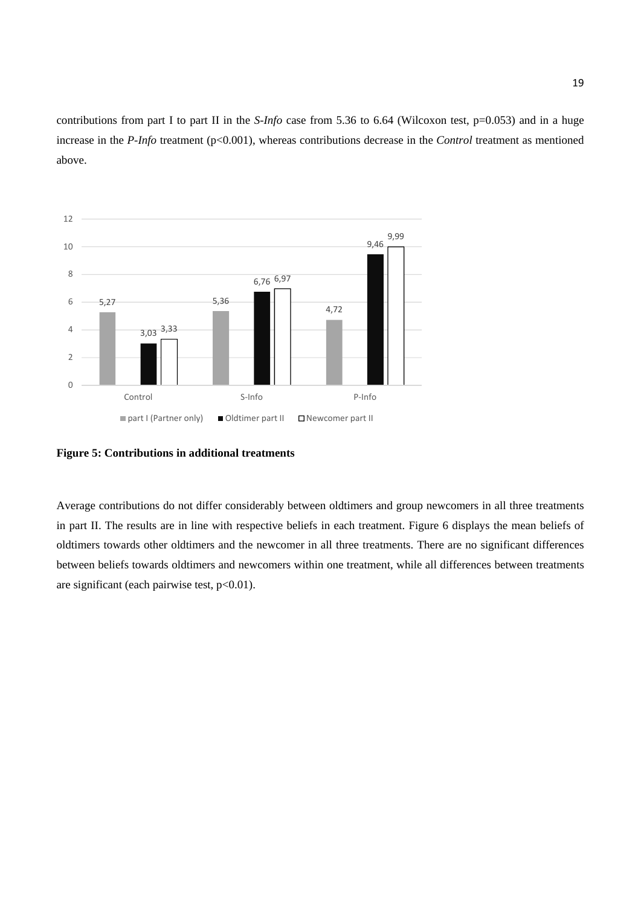contributions from part I to part II in the *S-Info* case from 5.36 to 6.64 (Wilcoxon test, p=0.053) and in a huge increase in the *P-Info* treatment (p<0.001), whereas contributions decrease in the *Control* treatment as mentioned above.



**Figure 5: Contributions in additional treatments** 

Average contributions do not differ considerably between oldtimers and group newcomers in all three treatments in part II. The results are in line with respective beliefs in each treatment. Figure 6 displays the mean beliefs of oldtimers towards other oldtimers and the newcomer in all three treatments. There are no significant differences between beliefs towards oldtimers and newcomers within one treatment, while all differences between treatments are significant (each pairwise test,  $p<0.01$ ).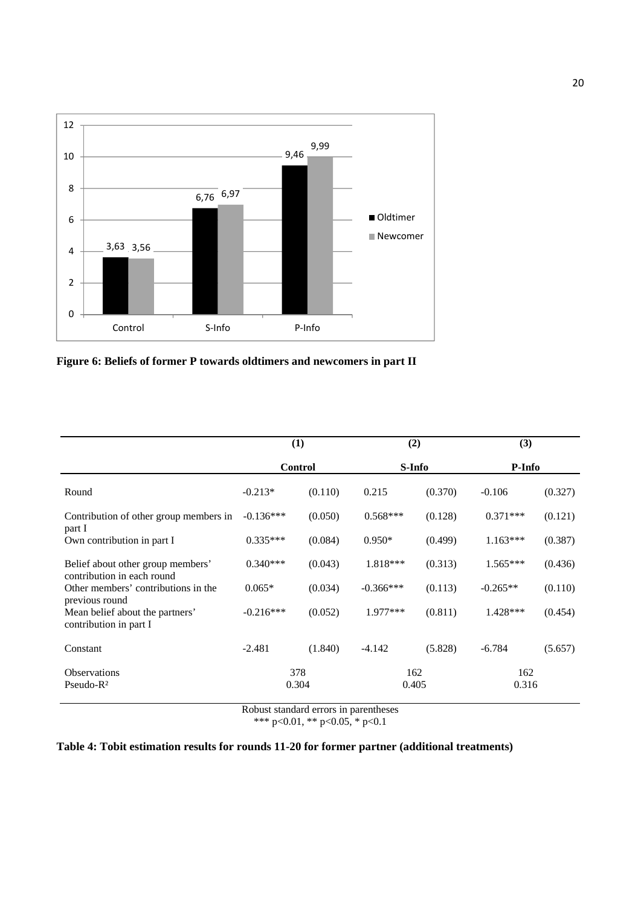

**Figure 6: Beliefs of former P towards oldtimers and newcomers in part II** 

|                                                                 | (1)            |         | (2)          |         | (3)          |         |  |
|-----------------------------------------------------------------|----------------|---------|--------------|---------|--------------|---------|--|
|                                                                 | <b>Control</b> |         | S-Info       |         | P-Info       |         |  |
| Round                                                           | $-0.213*$      | (0.110) | 0.215        | (0.370) | $-0.106$     | (0.327) |  |
| Contribution of other group members in<br>part I                | $-0.136***$    | (0.050) | $0.568***$   | (0.128) | $0.371***$   | (0.121) |  |
| Own contribution in part I                                      | $0.335***$     | (0.084) | $0.950*$     | (0.499) | $1.163***$   | (0.387) |  |
| Belief about other group members'<br>contribution in each round | $0.340***$     | (0.043) | 1.818***     | (0.313) | $1.565***$   | (0.436) |  |
| Other members' contributions in the<br>previous round           | $0.065*$       | (0.034) | $-0.366***$  | (0.113) | $-0.265**$   | (0.110) |  |
| Mean belief about the partners'<br>contribution in part I       | $-0.216***$    | (0.052) | 1.977***     | (0.811) | $1.428***$   | (0.454) |  |
| Constant                                                        | $-2.481$       | (1.840) | $-4.142$     | (5.828) | $-6.784$     | (5.657) |  |
| <b>Observations</b><br>$Pseudo-R2$                              | 378<br>0.304   |         | 162<br>0.405 |         | 162<br>0.316 |         |  |

Robust standard errors in parentheses

\*\*\* p<0.01, \*\* p<0.05, \* p<0.1

## **Table 4: Tobit estimation results for rounds 11-20 for former partner (additional treatments)**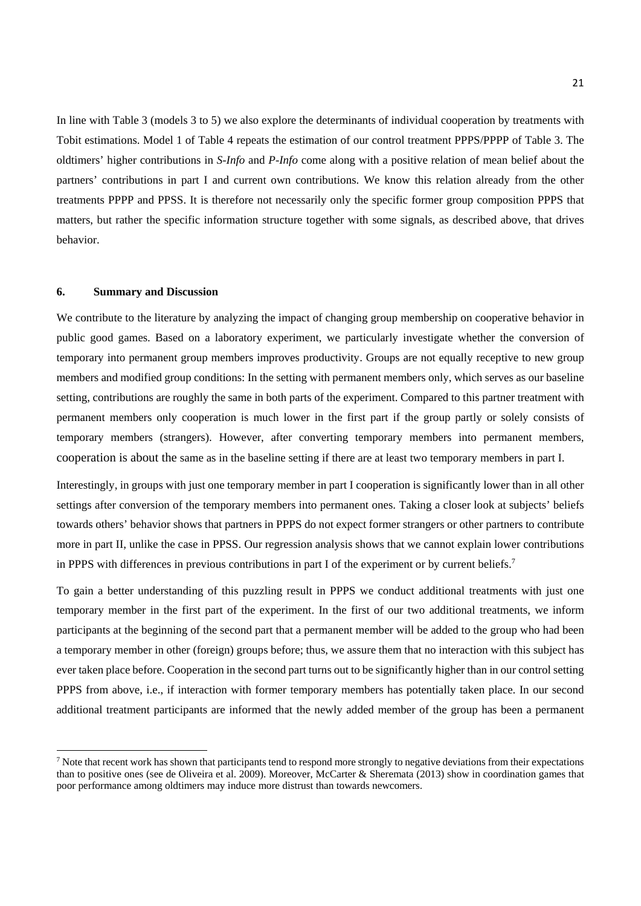In line with Table 3 (models 3 to 5) we also explore the determinants of individual cooperation by treatments with Tobit estimations. Model 1 of Table 4 repeats the estimation of our control treatment PPPS/PPPP of Table 3. The oldtimers' higher contributions in *S-Info* and *P-Info* come along with a positive relation of mean belief about the partners' contributions in part I and current own contributions. We know this relation already from the other treatments PPPP and PPSS. It is therefore not necessarily only the specific former group composition PPPS that matters, but rather the specific information structure together with some signals, as described above, that drives behavior.

### **6. Summary and Discussion**

<u>.</u>

We contribute to the literature by analyzing the impact of changing group membership on cooperative behavior in public good games. Based on a laboratory experiment, we particularly investigate whether the conversion of temporary into permanent group members improves productivity. Groups are not equally receptive to new group members and modified group conditions: In the setting with permanent members only, which serves as our baseline setting, contributions are roughly the same in both parts of the experiment. Compared to this partner treatment with permanent members only cooperation is much lower in the first part if the group partly or solely consists of temporary members (strangers). However, after converting temporary members into permanent members, cooperation is about the same as in the baseline setting if there are at least two temporary members in part I.

Interestingly, in groups with just one temporary member in part I cooperation is significantly lower than in all other settings after conversion of the temporary members into permanent ones. Taking a closer look at subjects' beliefs towards others' behavior shows that partners in PPPS do not expect former strangers or other partners to contribute more in part II, unlike the case in PPSS. Our regression analysis shows that we cannot explain lower contributions in PPPS with differences in previous contributions in part I of the experiment or by current beliefs.<sup>7</sup>

To gain a better understanding of this puzzling result in PPPS we conduct additional treatments with just one temporary member in the first part of the experiment. In the first of our two additional treatments, we inform participants at the beginning of the second part that a permanent member will be added to the group who had been a temporary member in other (foreign) groups before; thus, we assure them that no interaction with this subject has ever taken place before. Cooperation in the second part turns out to be significantly higher than in our control setting PPPS from above, i.e., if interaction with former temporary members has potentially taken place. In our second additional treatment participants are informed that the newly added member of the group has been a permanent

<sup>&</sup>lt;sup>7</sup> Note that recent work has shown that participants tend to respond more strongly to negative deviations from their expectations than to positive ones (see de Oliveira et al. 2009). Moreover, McCarter & Sheremata (2013) show in coordination games that poor performance among oldtimers may induce more distrust than towards newcomers.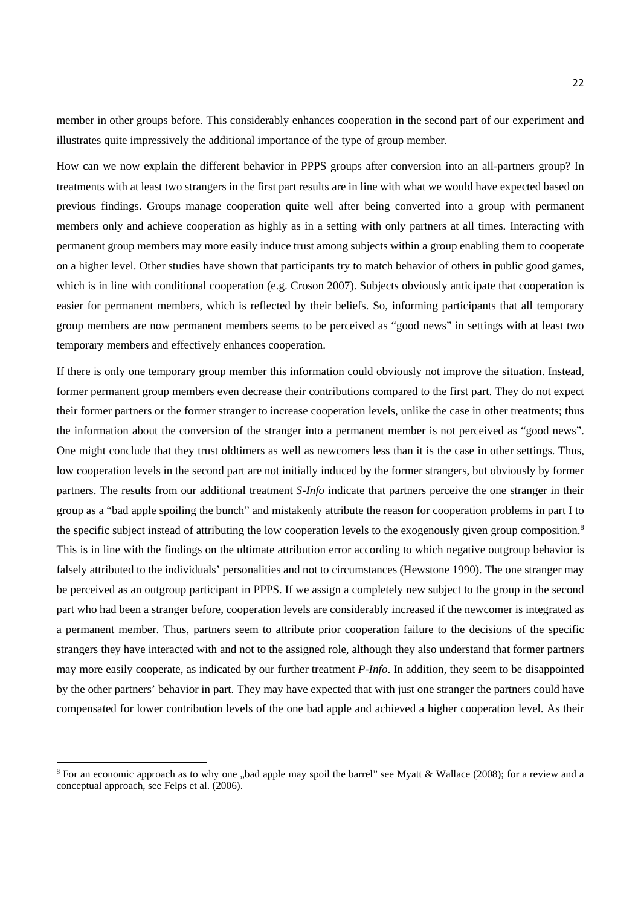member in other groups before. This considerably enhances cooperation in the second part of our experiment and illustrates quite impressively the additional importance of the type of group member.

How can we now explain the different behavior in PPPS groups after conversion into an all-partners group? In treatments with at least two strangers in the first part results are in line with what we would have expected based on previous findings. Groups manage cooperation quite well after being converted into a group with permanent members only and achieve cooperation as highly as in a setting with only partners at all times. Interacting with permanent group members may more easily induce trust among subjects within a group enabling them to cooperate on a higher level. Other studies have shown that participants try to match behavior of others in public good games, which is in line with conditional cooperation (e.g. Croson 2007). Subjects obviously anticipate that cooperation is easier for permanent members, which is reflected by their beliefs. So, informing participants that all temporary group members are now permanent members seems to be perceived as "good news" in settings with at least two temporary members and effectively enhances cooperation.

If there is only one temporary group member this information could obviously not improve the situation. Instead, former permanent group members even decrease their contributions compared to the first part. They do not expect their former partners or the former stranger to increase cooperation levels, unlike the case in other treatments; thus the information about the conversion of the stranger into a permanent member is not perceived as "good news". One might conclude that they trust oldtimers as well as newcomers less than it is the case in other settings. Thus, low cooperation levels in the second part are not initially induced by the former strangers, but obviously by former partners. The results from our additional treatment *S-Info* indicate that partners perceive the one stranger in their group as a "bad apple spoiling the bunch" and mistakenly attribute the reason for cooperation problems in part I to the specific subject instead of attributing the low cooperation levels to the exogenously given group composition.<sup>8</sup> This is in line with the findings on the ultimate attribution error according to which negative outgroup behavior is falsely attributed to the individuals' personalities and not to circumstances (Hewstone 1990). The one stranger may be perceived as an outgroup participant in PPPS. If we assign a completely new subject to the group in the second part who had been a stranger before, cooperation levels are considerably increased if the newcomer is integrated as a permanent member. Thus, partners seem to attribute prior cooperation failure to the decisions of the specific strangers they have interacted with and not to the assigned role, although they also understand that former partners may more easily cooperate, as indicated by our further treatment *P-Info*. In addition, they seem to be disappointed by the other partners' behavior in part. They may have expected that with just one stranger the partners could have compensated for lower contribution levels of the one bad apple and achieved a higher cooperation level. As their

<u>.</u>

<sup>&</sup>lt;sup>8</sup> For an economic approach as to why one "bad apple may spoil the barrel" see Myatt & Wallace (2008); for a review and a conceptual approach, see Felps et al. (2006).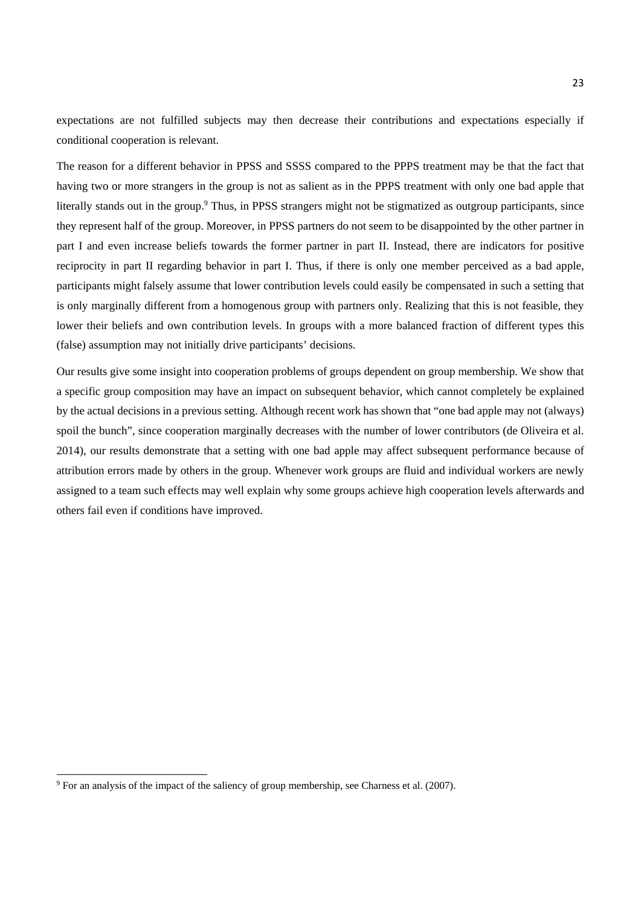expectations are not fulfilled subjects may then decrease their contributions and expectations especially if conditional cooperation is relevant.

The reason for a different behavior in PPSS and SSSS compared to the PPPS treatment may be that the fact that having two or more strangers in the group is not as salient as in the PPPS treatment with only one bad apple that literally stands out in the group.<sup>9</sup> Thus, in PPSS strangers might not be stigmatized as outgroup participants, since they represent half of the group. Moreover, in PPSS partners do not seem to be disappointed by the other partner in part I and even increase beliefs towards the former partner in part II. Instead, there are indicators for positive reciprocity in part II regarding behavior in part I. Thus, if there is only one member perceived as a bad apple, participants might falsely assume that lower contribution levels could easily be compensated in such a setting that is only marginally different from a homogenous group with partners only. Realizing that this is not feasible, they lower their beliefs and own contribution levels. In groups with a more balanced fraction of different types this (false) assumption may not initially drive participants' decisions.

Our results give some insight into cooperation problems of groups dependent on group membership. We show that a specific group composition may have an impact on subsequent behavior, which cannot completely be explained by the actual decisions in a previous setting. Although recent work has shown that "one bad apple may not (always) spoil the bunch", since cooperation marginally decreases with the number of lower contributors (de Oliveira et al. 2014), our results demonstrate that a setting with one bad apple may affect subsequent performance because of attribution errors made by others in the group. Whenever work groups are fluid and individual workers are newly assigned to a team such effects may well explain why some groups achieve high cooperation levels afterwards and others fail even if conditions have improved.

<u>.</u>

<sup>9</sup> For an analysis of the impact of the saliency of group membership, see Charness et al. (2007).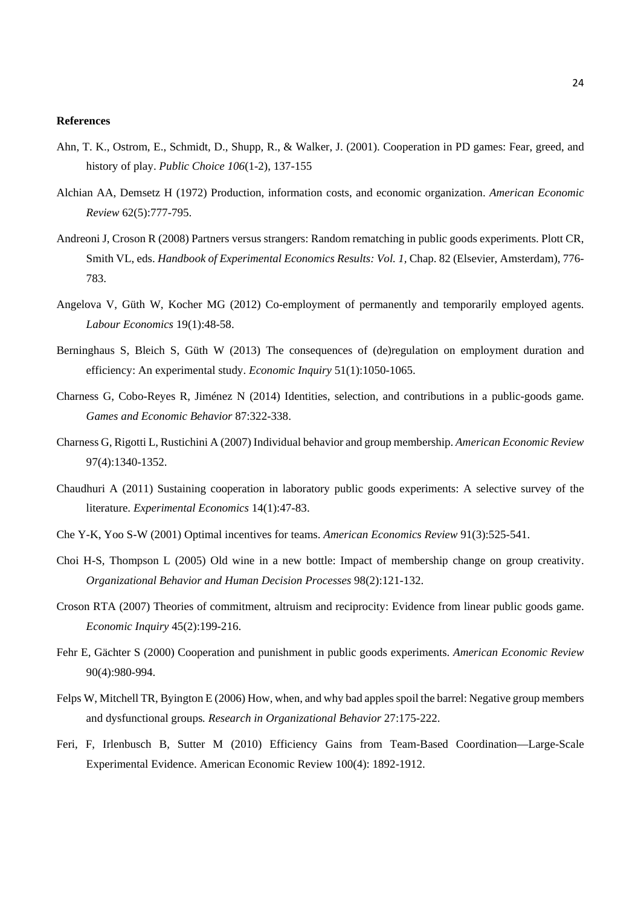#### **References**

- Ahn, T. K., Ostrom, E., Schmidt, D., Shupp, R., & Walker, J. (2001). Cooperation in PD games: Fear, greed, and history of play. *Public Choice 106*(1-2), 137-155
- Alchian AA, Demsetz H (1972) Production, information costs, and economic organization. *American Economic Review* 62(5):777-795.
- Andreoni J, Croson R (2008) Partners versus strangers: Random rematching in public goods experiments. Plott CR, Smith VL, eds. *Handbook of Experimental Economics Results: Vol. 1*, Chap. 82 (Elsevier, Amsterdam), 776-783.
- Angelova V, Güth W, Kocher MG (2012) Co-employment of permanently and temporarily employed agents. *Labour Economics* 19(1):48-58.
- Berninghaus S, Bleich S, Güth W (2013) The consequences of (de)regulation on employment duration and efficiency: An experimental study. *Economic Inquiry* 51(1):1050-1065.
- Charness G, Cobo-Reyes R, Jiménez N (2014) Identities, selection, and contributions in a public-goods game. *Games and Economic Behavior* 87:322-338.
- Charness G, Rigotti L, Rustichini A (2007) Individual behavior and group membership. *American Economic Review* 97(4):1340-1352.
- Chaudhuri A (2011) Sustaining cooperation in laboratory public goods experiments: A selective survey of the literature. *Experimental Economics* 14(1):47-83.
- Che Y-K, Yoo S-W (2001) Optimal incentives for teams. *American Economics Review* 91(3):525-541.
- Choi H-S, Thompson L (2005) Old wine in a new bottle: Impact of membership change on group creativity. *Organizational Behavior and Human Decision Processes* 98(2):121-132.
- Croson RTA (2007) Theories of commitment, altruism and reciprocity: Evidence from linear public goods game. *Economic Inquiry* 45(2):199-216.
- Fehr E, Gächter S (2000) Cooperation and punishment in public goods experiments. *American Economic Review*  90(4):980-994.
- Felps W, Mitchell TR, Byington E (2006) How, when, and why bad apples spoil the barrel: Negative group members and dysfunctional groups*. Research in Organizational Behavior* 27:175-222.
- Feri, F, Irlenbusch B, Sutter M (2010) Efficiency Gains from Team-Based Coordination—Large-Scale Experimental Evidence. American Economic Review 100(4): 1892-1912.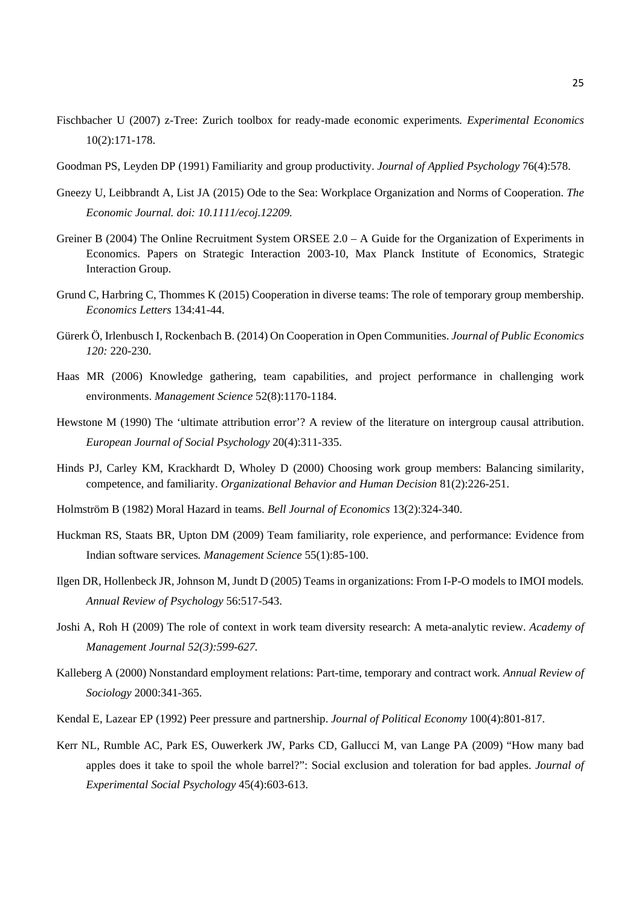- Fischbacher U (2007) z-Tree: Zurich toolbox for ready-made economic experiments*. Experimental Economics* 10(2):171-178.
- Goodman PS, Leyden DP (1991) Familiarity and group productivity. *Journal of Applied Psychology* 76(4):578.
- Gneezy U, Leibbrandt A, List JA (2015) Ode to the Sea: Workplace Organization and Norms of Cooperation. *The Economic Journal. doi: 10.1111/ecoj.12209.*
- Greiner B (2004) The Online Recruitment System ORSEE 2.0 A Guide for the Organization of Experiments in Economics. Papers on Strategic Interaction 2003-10, Max Planck Institute of Economics, Strategic Interaction Group.
- Grund C, Harbring C, Thommes K (2015) Cooperation in diverse teams: The role of temporary group membership. *Economics Letters* 134:41-44.
- Gürerk Ö, Irlenbusch I, Rockenbach B. (2014) On Cooperation in Open Communities. *Journal of Public Economics 120:* 220-230.
- Haas MR (2006) Knowledge gathering, team capabilities, and project performance in challenging work environments. *Management Science* 52(8):1170-1184.
- Hewstone M (1990) The 'ultimate attribution error'? A review of the literature on intergroup causal attribution. *European Journal of Social Psychology* 20(4):311-335.
- Hinds PJ, Carley KM, Krackhardt D, Wholey D (2000) Choosing work group members: Balancing similarity, competence, and familiarity. *Organizational Behavior and Human Decision* 81(2):226-251.
- Holmström B (1982) Moral Hazard in teams. *Bell Journal of Economics* 13(2):324-340.
- Huckman RS, Staats BR, Upton DM (2009) Team familiarity, role experience, and performance: Evidence from Indian software services*. Management Science* 55(1):85-100.
- Ilgen DR, Hollenbeck JR, Johnson M, Jundt D (2005) Teams in organizations: From I-P-O models to IMOI models*. Annual Review of Psychology* 56:517-543.
- Joshi A, Roh H (2009) The role of context in work team diversity research: A meta-analytic review. *Academy of Management Journal 52(3):599-627.*
- Kalleberg A (2000) Nonstandard employment relations: Part-time, temporary and contract work*. Annual Review of Sociology* 2000:341-365.
- Kendal E, Lazear EP (1992) Peer pressure and partnership. *Journal of Political Economy* 100(4):801-817.
- Kerr NL, Rumble AC, Park ES, Ouwerkerk JW, Parks CD, Gallucci M, van Lange PA (2009) "How many bad apples does it take to spoil the whole barrel?": Social exclusion and toleration for bad apples. *Journal of Experimental Social Psychology* 45(4):603-613.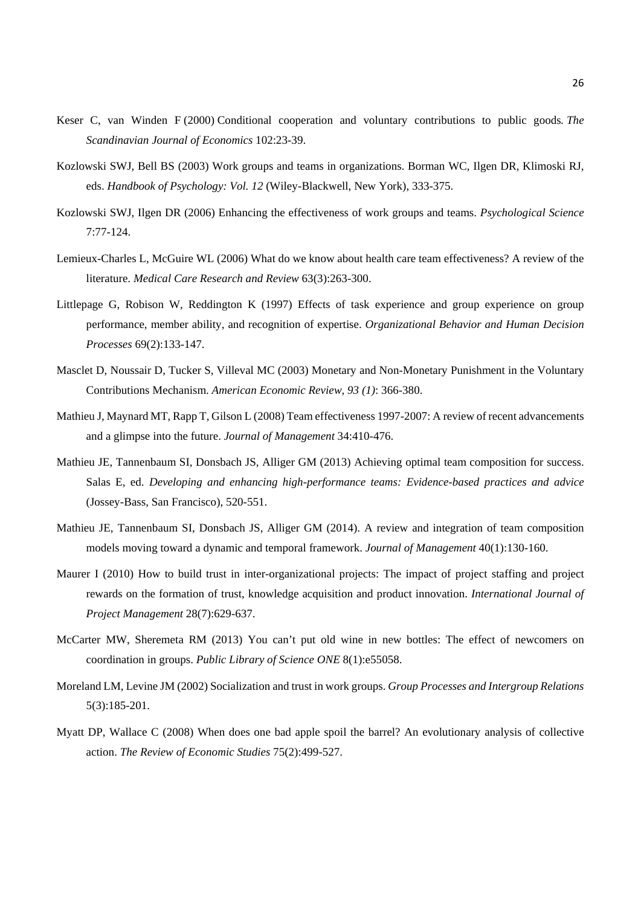- Keser C, van Winden F (2000) Conditional cooperation and voluntary contributions to public goods*. The Scandinavian Journal of Economics* 102:23-39.
- Kozlowski SWJ, Bell BS (2003) Work groups and teams in organizations. Borman WC, Ilgen DR, Klimoski RJ, eds. *Handbook of Psychology: Vol. 12* (Wiley-Blackwell, New York), 333-375.
- Kozlowski SWJ, Ilgen DR (2006) Enhancing the effectiveness of work groups and teams. *Psychological Science* 7:77-124.
- Lemieux-Charles L, McGuire WL (2006) What do we know about health care team effectiveness? A review of the literature. *Medical Care Research and Review* 63(3):263-300.
- Littlepage G, Robison W, Reddington K (1997) Effects of task experience and group experience on group performance, member ability, and recognition of expertise. *Organizational Behavior and Human Decision Processes* 69(2):133-147.
- Masclet D, Noussair D, Tucker S, Villeval MC (2003) Monetary and Non-Monetary Punishment in the Voluntary Contributions Mechanism. *American Economic Review, 93 (1)*: 366-380.
- Mathieu J, Maynard MT, Rapp T, Gilson L (2008) Team effectiveness 1997-2007: A review of recent advancements and a glimpse into the future. *Journal of Management* 34:410-476.
- Mathieu JE, Tannenbaum SI, Donsbach JS, Alliger GM (2013) Achieving optimal team composition for success. Salas E, ed. *Developing and enhancing high-performance teams: Evidence-based practices and advice*  (Jossey-Bass, San Francisco), 520-551.
- Mathieu JE, Tannenbaum SI, Donsbach JS, Alliger GM (2014). A review and integration of team composition models moving toward a dynamic and temporal framework. *Journal of Management* 40(1):130-160.
- Maurer I (2010) How to build trust in inter-organizational projects: The impact of project staffing and project rewards on the formation of trust, knowledge acquisition and product innovation. *International Journal of Project Management* 28(7):629-637.
- McCarter MW, Sheremeta RM (2013) You can't put old wine in new bottles: The effect of newcomers on coordination in groups. *Public Library of Science ONE* 8(1):e55058.
- Moreland LM, Levine JM (2002) Socialization and trust in work groups. *Group Processes and Intergroup Relations*  5(3):185-201.
- Myatt DP, Wallace C (2008) When does one bad apple spoil the barrel? An evolutionary analysis of collective action. *The Review of Economic Studies* 75(2):499-527.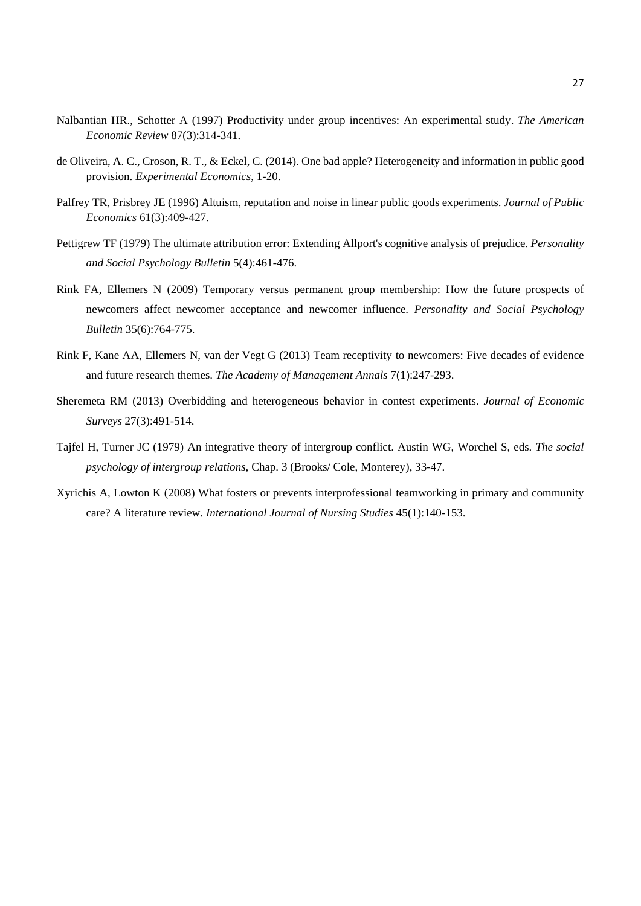- Nalbantian HR., Schotter A (1997) Productivity under group incentives: An experimental study. *The American Economic Review* 87(3):314-341.
- de Oliveira, A. C., Croson, R. T., & Eckel, C. (2014). One bad apple? Heterogeneity and information in public good provision. *Experimental Economics*, 1-20.
- Palfrey TR, Prisbrey JE (1996) Altuism, reputation and noise in linear public goods experiments. *Journal of Public Economics* 61(3):409-427.
- Pettigrew TF (1979) The ultimate attribution error: Extending Allport's cognitive analysis of prejudice*. Personality and Social Psychology Bulletin* 5(4):461-476.
- Rink FA, Ellemers N (2009) Temporary versus permanent group membership: How the future prospects of newcomers affect newcomer acceptance and newcomer influence. *Personality and Social Psychology Bulletin* 35(6):764-775.
- Rink F, Kane AA, Ellemers N, van der Vegt G (2013) Team receptivity to newcomers: Five decades of evidence and future research themes. *The Academy of Management Annals* 7(1):247-293.
- Sheremeta RM (2013) Overbidding and heterogeneous behavior in contest experiments. *Journal of Economic Surveys* 27(3):491-514.
- Tajfel H, Turner JC (1979) An integrative theory of intergroup conflict. Austin WG, Worchel S, eds. *The social psychology of intergroup relations,* Chap. 3 (Brooks/ Cole, Monterey), 33-47.
- Xyrichis A, Lowton K (2008) What fosters or prevents interprofessional teamworking in primary and community care? A literature review. *International Journal of Nursing Studies* 45(1):140-153.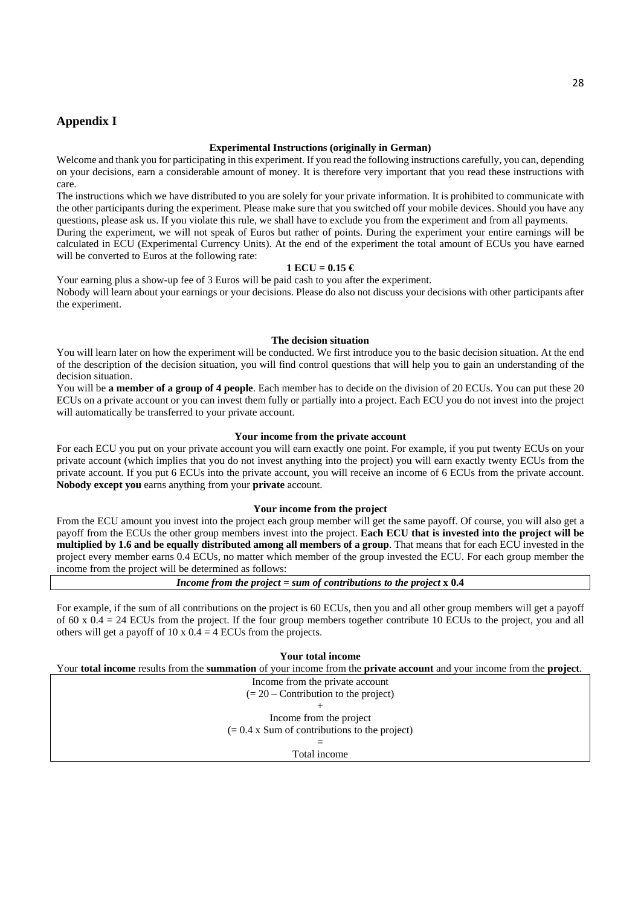## **Appendix I**

## **Experimental Instructions (originally in German)**

Welcome and thank you for participating in this experiment. If you read the following instructions carefully, you can, depending on your decisions, earn a considerable amount of money. It is therefore very important that you read these instructions with care.

The instructions which we have distributed to you are solely for your private information. It is prohibited to communicate with the other participants during the experiment. Please make sure that you switched off your mobile devices. Should you have any questions, please ask us. If you violate this rule, we shall have to exclude you from the experiment and from all payments.

During the experiment, we will not speak of Euros but rather of points. During the experiment your entire earnings will be calculated in ECU (Experimental Currency Units). At the end of the experiment the total amount of ECUs you have earned will be converted to Euros at the following rate:

### **1 ECU = 0.15 €**

Your earning plus a show-up fee of 3 Euros will be paid cash to you after the experiment. Nobody will learn about your earnings or your decisions. Please do also not discuss your decisions with other participants after the experiment.

### **The decision situation**

You will learn later on how the experiment will be conducted. We first introduce you to the basic decision situation. At the end of the description of the decision situation, you will find control questions that will help you to gain an understanding of the decision situation.

You will be **a member of a group of 4 people**. Each member has to decide on the division of 20 ECUs. You can put these 20 ECUs on a private account or you can invest them fully or partially into a project. Each ECU you do not invest into the project will automatically be transferred to your private account.

#### **Your income from the private account**

For each ECU you put on your private account you will earn exactly one point. For example, if you put twenty ECUs on your private account (which implies that you do not invest anything into the project) you will earn exactly twenty ECUs from the private account. If you put 6 ECUs into the private account, you will receive an income of 6 ECUs from the private account. **Nobody except you** earns anything from your **private** account.

### **Your income from the project**

From the ECU amount you invest into the project each group member will get the same payoff. Of course, you will also get a payoff from the ECUs the other group members invest into the project. **Each ECU that is invested into the project will be multiplied by 1.6 and be equally distributed among all members of a group**. That means that for each ECU invested in the project every member earns 0.4 ECUs, no matter which member of the group invested the ECU. For each group member the income from the project will be determined as follows:

*Income from the project* **=** *sum of contributions to the project* **x 0.4** 

For example, if the sum of all contributions on the project is 60 ECUs, then you and all other group members will get a payoff of  $60 \times 0.4 = 24$  ECUs from the project. If the four group members together contribute 10 ECUs to the project, you and all others will get a payoff of  $10 \times 0.4 = 4$  ECUs from the projects.

**Your total income** 

Your **total income** results from the **summation** of your income from the **private account** and your income from the **project**.

Income from the private account  $(= 20 -$ Contribution to the project) + Income from the project  $(= 0.4 \times$  Sum of contributions to the project)

> = Total income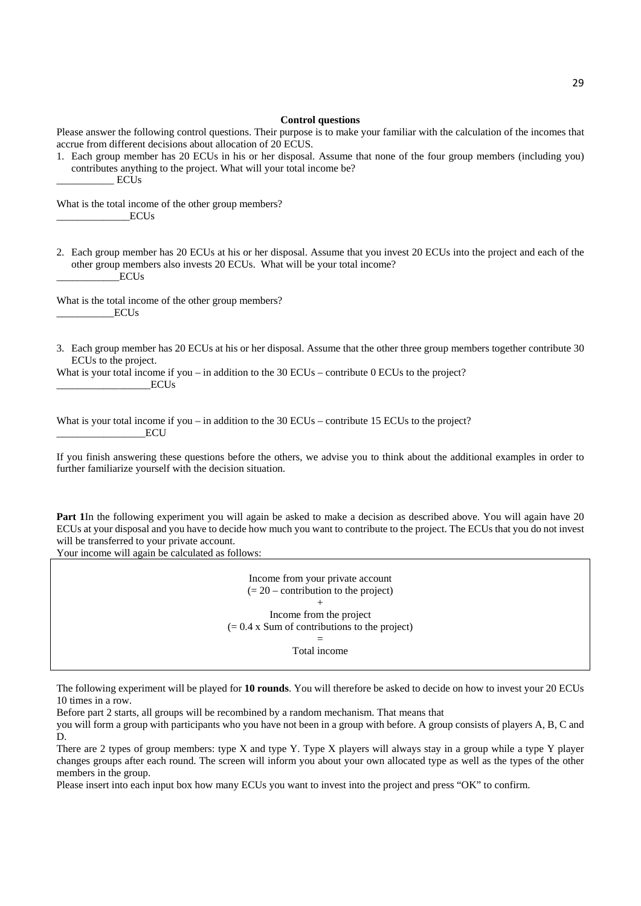#### **Control questions**

Please answer the following control questions. Their purpose is to make your familiar with the calculation of the incomes that accrue from different decisions about allocation of 20 ECUS.

1. Each group member has 20 ECUs in his or her disposal. Assume that none of the four group members (including you) contributes anything to the project. What will your total income be?  $ECUs$ 

What is the total income of the other group members?  $ECUs$ 

2. Each group member has 20 ECUs at his or her disposal. Assume that you invest 20 ECUs into the project and each of the other group members also invests 20 ECUs. What will be your total income?  $\_ECUs$ 

What is the total income of the other group members? \_\_\_\_\_\_\_\_\_\_\_ECUs

3. Each group member has 20 ECUs at his or her disposal. Assume that the other three group members together contribute 30 ECUs to the project.

What is your total income if you – in addition to the  $30$  ECUs – contribute 0 ECUs to the project?  $ECUs$ 

What is your total income if you – in addition to the 30 ECUs – contribute 15 ECUs to the project?  $ECU$ 

If you finish answering these questions before the others, we advise you to think about the additional examples in order to further familiarize yourself with the decision situation.

**Part 1**In the following experiment you will again be asked to make a decision as described above. You will again have 20 ECUs at your disposal and you have to decide how much you want to contribute to the project. The ECUs that you do not invest will be transferred to your private account.

Your income will again be calculated as follows:

Income from your private account  $(= 20 -$  contribution to the project) + Income from the project  $(= 0.4 \times$  Sum of contributions to the project)

=

Total income

The following experiment will be played for **10 rounds**. You will therefore be asked to decide on how to invest your 20 ECUs 10 times in a row.

Before part 2 starts, all groups will be recombined by a random mechanism. That means that

you will form a group with participants who you have not been in a group with before. A group consists of players A, B, C and D.

There are 2 types of group members: type X and type Y. Type X players will always stay in a group while a type Y player changes groups after each round. The screen will inform you about your own allocated type as well as the types of the other members in the group.

Please insert into each input box how many ECUs you want to invest into the project and press "OK" to confirm.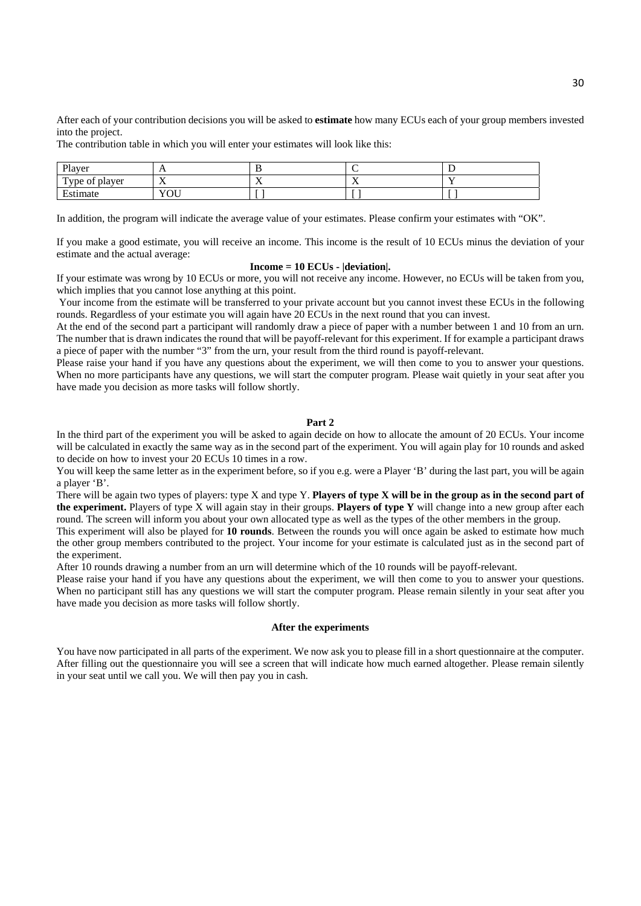After each of your contribution decisions you will be asked to **estimate** how many ECUs each of your group members invested into the project.

The contribution table in which you will enter your estimates will look like this:

| Player                             | . .                              |                          |                                 |  |
|------------------------------------|----------------------------------|--------------------------|---------------------------------|--|
| $\mathbf{r}$<br>l'ype of<br>player | $ -$<br>$\overline{\phantom{a}}$ | $\overline{\phantom{a}}$ | - -<br>$\overline{\phantom{a}}$ |  |
| $\blacksquare$<br>stımate          | YOU                              |                          |                                 |  |

In addition, the program will indicate the average value of your estimates. Please confirm your estimates with "OK".

If you make a good estimate, you will receive an income. This income is the result of 10 ECUs minus the deviation of your estimate and the actual average:

### **Income = 10 ECUs - |deviation|.**

If your estimate was wrong by 10 ECUs or more, you will not receive any income. However, no ECUs will be taken from you, which implies that you cannot lose anything at this point.

 Your income from the estimate will be transferred to your private account but you cannot invest these ECUs in the following rounds. Regardless of your estimate you will again have 20 ECUs in the next round that you can invest.

At the end of the second part a participant will randomly draw a piece of paper with a number between 1 and 10 from an urn. The number that is drawn indicates the round that will be payoff-relevant for this experiment. If for example a participant draws a piece of paper with the number "3" from the urn, your result from the third round is payoff-relevant.

Please raise your hand if you have any questions about the experiment, we will then come to you to answer your questions. When no more participants have any questions, we will start the computer program. Please wait quietly in your seat after you have made you decision as more tasks will follow shortly.

#### **Part 2**

In the third part of the experiment you will be asked to again decide on how to allocate the amount of 20 ECUs. Your income will be calculated in exactly the same way as in the second part of the experiment. You will again play for 10 rounds and asked to decide on how to invest your 20 ECUs 10 times in a row.

You will keep the same letter as in the experiment before, so if you e.g. were a Player 'B' during the last part, you will be again a player 'B'.

There will be again two types of players: type X and type Y. **Players of type X will be in the group as in the second part of the experiment.** Players of type X will again stay in their groups. **Players of type Y** will change into a new group after each round. The screen will inform you about your own allocated type as well as the types of the other members in the group.

This experiment will also be played for **10 rounds**. Between the rounds you will once again be asked to estimate how much the other group members contributed to the project. Your income for your estimate is calculated just as in the second part of the experiment.

After 10 rounds drawing a number from an urn will determine which of the 10 rounds will be payoff-relevant.

Please raise your hand if you have any questions about the experiment, we will then come to you to answer your questions. When no participant still has any questions we will start the computer program. Please remain silently in your seat after you have made you decision as more tasks will follow shortly.

#### **After the experiments**

You have now participated in all parts of the experiment. We now ask you to please fill in a short questionnaire at the computer. After filling out the questionnaire you will see a screen that will indicate how much earned altogether. Please remain silently in your seat until we call you. We will then pay you in cash.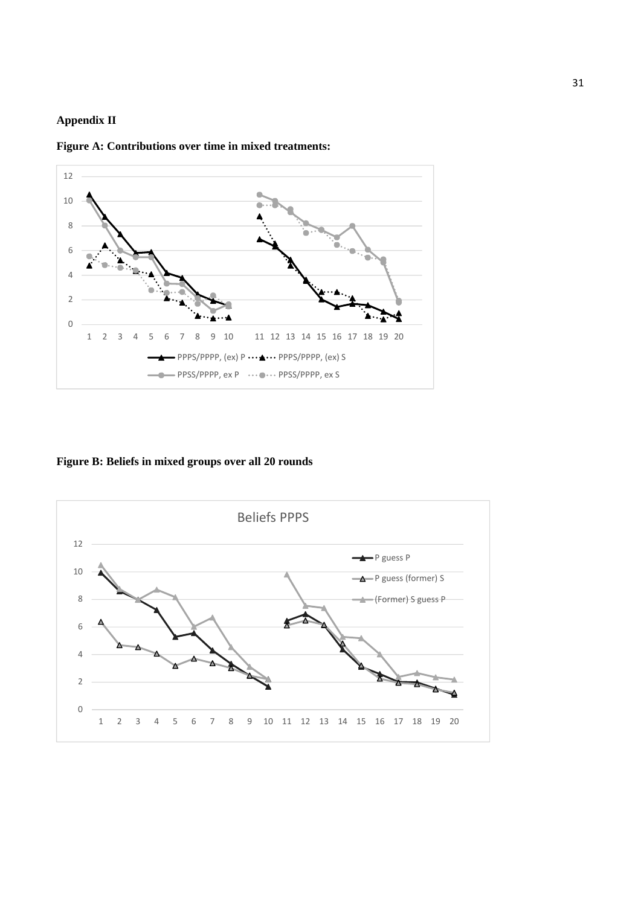## **Appendix II**



**Figure A: Contributions over time in mixed treatments:** 

**Figure B: Beliefs in mixed groups over all 20 rounds**